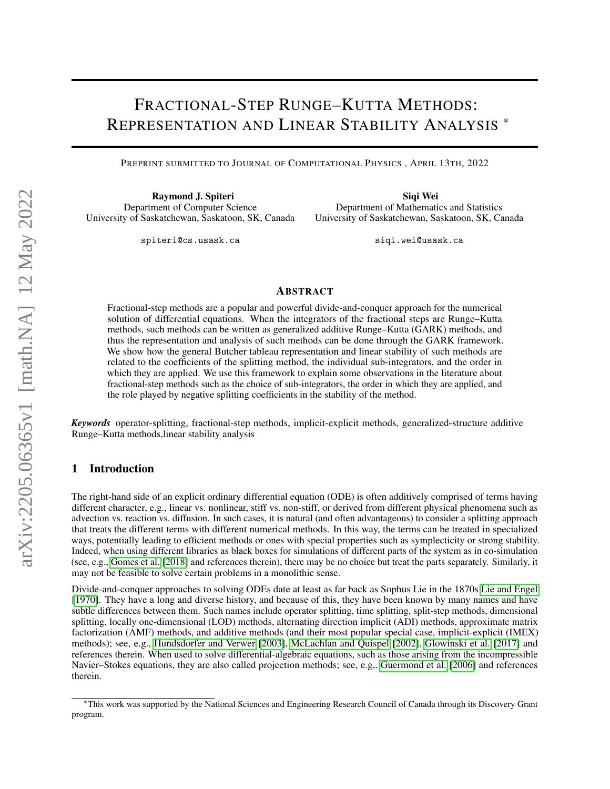# FRACTIONAL-STEP RUNGE–KUTTA METHODS: REPRESENTATION AND LINEAR STABILITY ANALYSIS<sup>\*</sup>

PREPRINT SUBMITTED TO JOURNAL OF COMPUTATIONAL PHYSICS , APRIL 13TH, 2022

Raymond J. Spiteri Department of Computer Science University of Saskatchewan, Saskatoon, SK, Canada

spiteri@cs.usask.ca

Siqi Wei Department of Mathematics and Statistics University of Saskatchewan, Saskatoon, SK, Canada

siqi.wei@usask.ca

## ABSTRACT

Fractional-step methods are a popular and powerful divide-and-conquer approach for the numerical solution of differential equations. When the integrators of the fractional steps are Runge–Kutta methods, such methods can be written as generalized additive Runge–Kutta (GARK) methods, and thus the representation and analysis of such methods can be done through the GARK framework. We show how the general Butcher tableau representation and linear stability of such methods are related to the coefficients of the splitting method, the individual sub-integrators, and the order in which they are applied. We use this framework to explain some observations in the literature about fractional-step methods such as the choice of sub-integrators, the order in which they are applied, and the role played by negative splitting coefficients in the stability of the method.

*Keywords* operator-splitting, fractional-step methods, implicit-explicit methods, generalized-structure additive Runge–Kutta methods,linear stability analysis

## 1 Introduction

The right-hand side of an explicit ordinary differential equation (ODE) is often additively comprised of terms having different character, e.g., linear vs. nonlinear, stiff vs. non-stiff, or derived from different physical phenomena such as advection vs. reaction vs. diffusion. In such cases, it is natural (and often advantageous) to consider a splitting approach that treats the different terms with different numerical methods. In this way, the terms can be treated in specialized ways, potentially leading to efficient methods or ones with special properties such as symplecticity or strong stability. Indeed, when using different libraries as black boxes for simulations of different parts of the system as in co-simulation (see, e.g., [Gomes et al.](#page-17-0) [\[2018\]](#page-17-0) and references therein), there may be no choice but treat the parts separately. Similarly, it may not be feasible to solve certain problems in a monolithic sense.

Divide-and-conquer approaches to solving ODEs date at least as far back as Sophus Lie in the 1870s [Lie and Engel](#page-17-1) [\[1970\]](#page-17-1). They have a long and diverse history, and because of this, they have been known by many names and have subtle differences between them. Such names include operator splitting, time splitting, split-step methods, dimensional splitting, locally one-dimensional (LOD) methods, alternating direction implicit (ADI) methods, approximate matrix factorization (AMF) methods, and additive methods (and their most popular special case, implicit-explicit (IMEX) methods); see, e.g., [Hundsdorfer and Verwer](#page-17-2) [\[2003\]](#page-17-2), [McLachlan and Quispel](#page-17-3) [\[2002\]](#page-17-3), [Glowinski et al.](#page-17-4) [\[2017\]](#page-17-4) and references therein. When used to solve differential-algebraic equations, such as those arising from the incompressible Navier–Stokes equations, they are also called projection methods; see, e.g,. [Guermond et al.](#page-18-0) [\[2006\]](#page-18-0) and references therein.

<sup>∗</sup>This work was supported by the National Sciences and Engineering Research Council of Canada through its Discovery Grant program.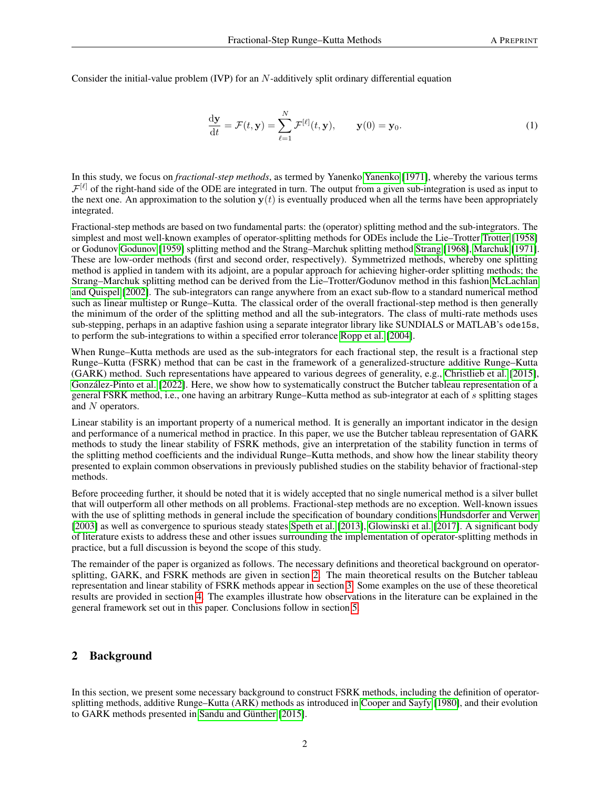Consider the initial-value problem (IVP) for an N-additively split ordinary differential equation

<span id="page-1-1"></span>
$$
\frac{\mathrm{d}\mathbf{y}}{\mathrm{d}t} = \mathcal{F}(t, \mathbf{y}) = \sum_{\ell=1}^{N} \mathcal{F}^{[\ell]}(t, \mathbf{y}), \qquad \mathbf{y}(0) = \mathbf{y}_0.
$$
\n(1)

In this study, we focus on *fractional-step methods*, as termed by Yanenko [Yanenko](#page-18-1) [\[1971\]](#page-18-1), whereby the various terms  $\mathcal{F}^{[\ell]}$  of the right-hand side of the ODE are integrated in turn. The output from a given sub-integration is used as input to the next one. An approximation to the solution  $y(t)$  is eventually produced when all the terms have been appropriately integrated.

Fractional-step methods are based on two fundamental parts: the (operator) splitting method and the sub-integrators. The simplest and most well-known examples of operator-splitting methods for ODEs include the Lie–Trotter [Trotter](#page-18-2) [\[1958\]](#page-18-2) or Godunov [Godunov](#page-18-3) [\[1959\]](#page-18-3) splitting method and the Strang–Marchuk splitting method [Strang](#page-18-4) [\[1968\]](#page-18-4), [Marchuk](#page-18-5) [\[1971\]](#page-18-5). These are low-order methods (first and second order, respectively). Symmetrized methods, whereby one splitting method is applied in tandem with its adjoint, are a popular approach for achieving higher-order splitting methods; the Strang–Marchuk splitting method can be derived from the Lie–Trotter/Godunov method in this fashion [McLachlan](#page-17-3) [and Quispel](#page-17-3) [\[2002\]](#page-17-3). The sub-integrators can range anywhere from an exact sub-flow to a standard numerical method such as linear multistep or Runge–Kutta. The classical order of the overall fractional-step method is then generally the minimum of the order of the splitting method and all the sub-integrators. The class of multi-rate methods uses sub-stepping, perhaps in an adaptive fashion using a separate integrator library like SUNDIALS or MATLAB's ode15s, to perform the sub-integrations to within a specified error tolerance [Ropp et al.](#page-18-6) [\[2004\]](#page-18-6).

When Runge–Kutta methods are used as the sub-integrators for each fractional step, the result is a fractional step Runge–Kutta (FSRK) method that can be cast in the framework of a generalized-structure additive Runge–Kutta (GARK) method. Such representations have appeared to various degrees of generality, e.g., [Christlieb et al.](#page-18-7) [\[2015\]](#page-18-7), [González-Pinto et al.](#page-18-8) [\[2022\]](#page-18-8). Here, we show how to systematically construct the Butcher tableau representation of a general FSRK method, i.e., one having an arbitrary Runge–Kutta method as sub-integrator at each of s splitting stages and N operators.

Linear stability is an important property of a numerical method. It is generally an important indicator in the design and performance of a numerical method in practice. In this paper, we use the Butcher tableau representation of GARK methods to study the linear stability of FSRK methods, give an interpretation of the stability function in terms of the splitting method coefficients and the individual Runge–Kutta methods, and show how the linear stability theory presented to explain common observations in previously published studies on the stability behavior of fractional-step methods.

Before proceeding further, it should be noted that it is widely accepted that no single numerical method is a silver bullet that will outperform all other methods on all problems. Fractional-step methods are no exception. Well-known issues with the use of splitting methods in general include the specification of boundary conditions [Hundsdorfer and Verwer](#page-17-2) [\[2003\]](#page-17-2) as well as convergence to spurious steady states [Speth et al.](#page-18-9) [\[2013\]](#page-18-9), [Glowinski et al.](#page-17-4) [\[2017\]](#page-17-4). A significant body of literature exists to address these and other issues surrounding the implementation of operator-splitting methods in practice, but a full discussion is beyond the scope of this study.

The remainder of the paper is organized as follows. The necessary definitions and theoretical background on operatorsplitting, GARK, and FSRK methods are given in section [2.](#page-1-0) The main theoretical results on the Butcher tableau representation and linear stability of FSRK methods appear in section [3.](#page-4-0) Some examples on the use of these theoretical results are provided in section [4.](#page-10-0) The examples illustrate how observations in the literature can be explained in the general framework set out in this paper. Conclusions follow in section [5.](#page-17-5)

## <span id="page-1-0"></span>2 Background

In this section, we present some necessary background to construct FSRK methods, including the definition of operatorsplitting methods, additive Runge–Kutta (ARK) methods as introduced in [Cooper and Sayfy](#page-19-0) [\[1980\]](#page-19-0), and their evolution to GARK methods presented in [Sandu and Günther](#page-19-1) [\[2015\]](#page-19-1).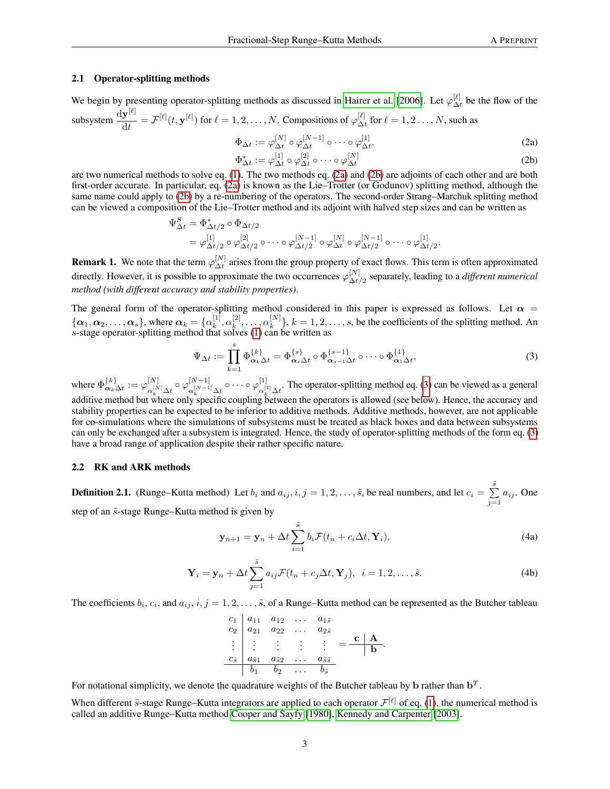#### 2.1 Operator-splitting methods

We begin by presenting operator-splitting methods as discussed in [Hairer et al.](#page-19-2) [\[2006\]](#page-19-2). Let  $\varphi_{\Delta i}^{[\ell]}$  $\Delta t$  be the flow of the subsystem  $\frac{dy^{[\ell]}}{dt}$  $\frac{\mathbf{y}^{[l]}}{\mathrm{d}t} = \mathcal{F}^{[\ell]}(t, \mathbf{y}^{[\ell]})$  for  $\ell = 1, 2, ..., N$ . Compositions of  $\varphi_{\Delta t}^{[\ell]}$  $\Delta_t^{[\ell]}$  for  $\ell = 1, 2 \ldots, N$ , such as

<span id="page-2-1"></span>
$$
\Phi_{\Delta t} := \varphi_{\Delta t}^{[N]} \circ \varphi_{\Delta t}^{[N-1]} \circ \cdots \circ \varphi_{\Delta t}^{[1]},
$$
\n(2a)

<span id="page-2-0"></span>
$$
\Phi_{\Delta t}^* := \varphi_{\Delta t}^{[1]} \circ \varphi_{\Delta t}^{[2]} \circ \cdots \circ \varphi_{\Delta t}^{[N]} \tag{2b}
$$

are two numerical methods to solve eq. [\(1\)](#page-1-1). The two methods eq. [\(2a\)](#page-2-0) and [\(2b\)](#page-2-1) are adjoints of each other and are both first-order accurate. In particular, eq. [\(2a\)](#page-2-0) is known as the Lie–Trotter (or Godunov) splitting method, although the same name could apply to [\(2b\)](#page-2-1) by a re-numbering of the operators. The second-order Strang–Marchuk splitting method can be viewed a composition of the Lie–Trotter method and its adjoint with halved step sizes and can be written as

$$
\Psi_{\Delta t}^{S} = \Phi_{\Delta t/2}^{*} \circ \Phi_{\Delta t/2}
$$
\n
$$
= \varphi_{\Delta t/2}^{[1]} \circ \varphi_{\Delta t/2}^{[2]} \circ \cdots \circ \varphi_{\Delta t/2}^{[N-1]} \circ \varphi_{\Delta t}^{[N]} \circ \varphi_{\Delta t/2}^{[N-1]} \circ \cdots \circ \varphi_{\Delta t/2}^{[1]}.
$$

**Remark 1.** We note that the term  $\varphi_{\Delta t}^{[N]}$  $\Delta t$  arises from the group property of exact flows. This term is often approximated directly. However, it is possible to approximate the two occurrences  $\varphi_{\Lambda t}^{[N]}$  $\Delta t/2$  separately, leading to a *different numerical method (with different accuracy and stability properties)*.

The general form of the operator-splitting method considered in this paper is expressed as follows. Let  $\alpha$  =  $\{\boldsymbol{\alpha}_1,\boldsymbol{\alpha}_2,\ldots,\boldsymbol{\alpha}_s\}$ , where  $\boldsymbol{\alpha}_k = \{\alpha_k^{[1]}$  $\left[ \begin{smallmatrix} 1\ k \end{smallmatrix} \right], \alpha_k^{[2]}$  $\alpha_k^{[2]}, \ldots, \alpha_k^{[N]}$  ${k \choose k}, k = 1, 2, \ldots, s$ , be the coefficients of the splitting method. An s-stage operator-splitting method that solves [\(1\)](#page-1-1) can be written as

<span id="page-2-2"></span>
$$
\Psi_{\Delta t} := \prod_{k=1}^{s} \Phi_{\alpha_k \Delta t}^{\{k\}} = \Phi_{\alpha_s \Delta t}^{\{s\}} \circ \Phi_{\alpha_{s-1} \Delta t}^{\{s-1\}} \circ \cdots \circ \Phi_{\alpha_1 \Delta t}^{\{1\}},
$$
\n(3)

where  $\Phi_{\alpha_k}^{\{k\}}$  $\{\begin{matrix} k\ \alpha_k \Delta t \end{matrix} := \varphi_{\alpha_\cdot^{[N]}}^{[N]}$  $\alpha_k^{[N]}\Delta t\stackrel{\bigcirc}{\sim}\phi_{\alpha_k^{[N-1]}}^{[N-1]}$  $\frac{[N-1]}{\alpha_k^{[N-1]}\Delta t}\circ\cdots\circ\varphi^{[1]}_{\alpha_k^{[1]}}$  $\alpha_k^{[1]}\Delta t$ . The operator-splitting method eq. [\(3\)](#page-2-2) can be viewed as a general additive method but where only specific coupling between the operators is allowed (see below). Hence, the accuracy and stability properties can be expected to be inferior to additive methods. Additive methods, however, are not applicable for co-simulations where the simulations of subsystems must be treated as black boxes and data between subsystems can only be exchanged after a subsystem is integrated. Hence, the study of operator-splitting methods of the form eq. [\(3\)](#page-2-2) have a broad range of application despite their rather specific nature.

## 2.2 RK and ARK methods

**Definition 2.1.** (Runge–Kutta method) Let  $b_i$  and  $a_{ij}, i, j = 1, 2, \ldots, \tilde{s}$ , be real numbers, and let  $c_i = \sum_{i=1}^{s}$  $\sum_{j=1} a_{ij}$ . One step of an  $\tilde{s}$ -stage Runge–Kutta method is given by

<span id="page-2-3"></span>
$$
\mathbf{y}_{n+1} = \mathbf{y}_n + \Delta t \sum_{i=1}^{\tilde{s}} b_i \mathcal{F}(t_n + c_i \Delta t, \mathbf{Y}_i), \tag{4a}
$$

$$
\mathbf{Y}_{i} = \mathbf{y}_{n} + \Delta t \sum_{j=1}^{\tilde{s}} a_{ij} \mathcal{F}(t_{n} + c_{j} \Delta t, \mathbf{Y}_{j}), \ \ i = 1, 2, \dots, \tilde{s}.
$$
 (4b)

The coefficients  $b_i, c_i$ , and  $a_{ij}, i, j = 1, 2, \ldots, \tilde{s}$ , of a Runge–Kutta method can be represented as the Butcher tableau

$$
\begin{array}{c|cccc}\nc_1 & a_{11} & a_{12} & \dots & a_{1\bar{s}} \\
c_2 & a_{21} & a_{22} & \dots & a_{2\bar{s}} \\
\vdots & \vdots & \vdots & \vdots & \vdots \\
c_{\bar{s}} & a_{\bar{s}1} & a_{\bar{s}2} & \dots & a_{\bar{s}\bar{s}} \\
\hline\nb_1 & b_2 & \dots & b_{\bar{s}}\n\end{array} = \n\begin{array}{c|cc}\n\mathbf{A} \\
\mathbf{b}\n\end{array}
$$

For notational simplicity, we denote the quadrature weights of the Butcher tableau by b rather than  $\mathbf{b}^T$ .

When different  $\tilde{s}$ -stage Runge–Kutta integrators are applied to each operator  $\mathcal{F}^{[\ell]}$  of eq. [\(1\)](#page-1-1), the numerical method is called an additive Runge–Kutta method [Cooper and Sayfy](#page-19-0) [\[1980\]](#page-19-0), [Kennedy and Carpenter](#page-19-3) [\[2003\]](#page-19-3).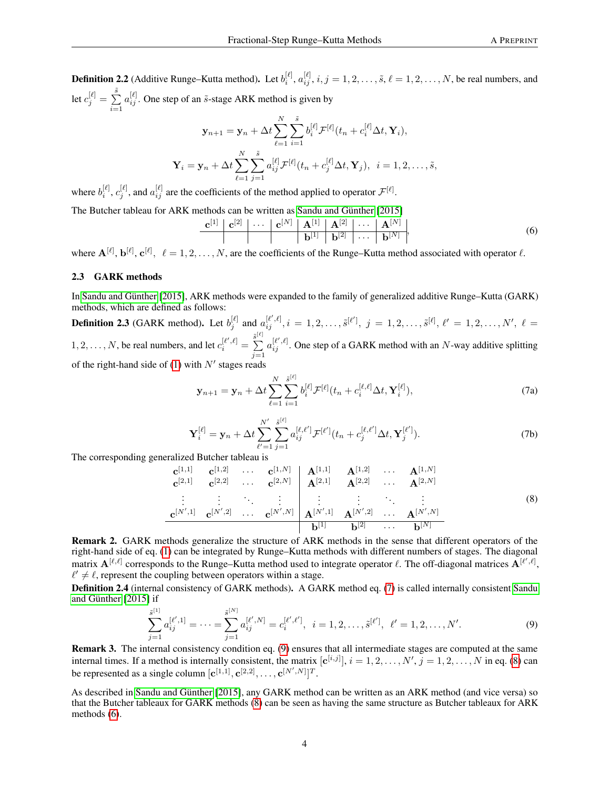**Definition 2.2** (Additive Runge–Kutta method). Let  $b_i^{[\ell]}, a_{ij}^{[\ell]}, i, j = 1, 2, \ldots, \tilde{s}, \ell = 1, 2, \ldots, N$ , be real numbers, and let  $c_j^{[\ell]} = \sum_{i=1}^{\tilde{s}}$  $i=1$  $a_{ij}^{[\ell]}$ . One step of an  $\tilde{s}$ -stage ARK method is given by

$$
\mathbf{y}_{n+1} = \mathbf{y}_n + \Delta t \sum_{\ell=1}^N \sum_{i=1}^{\tilde{s}} b_i^{[\ell]} \mathcal{F}^{[\ell]}(t_n + c_i^{[\ell]} \Delta t, \mathbf{Y}_i),
$$

$$
\mathbf{Y}_i = \mathbf{y}_n + \Delta t \sum_{\ell=1}^N \sum_{j=1}^{\tilde{s}} a_{ij}^{[\ell]} \mathcal{F}^{[\ell]}(t_n + c_j^{[\ell]} \Delta t, \mathbf{Y}_j), \quad i = 1, 2, \dots, \tilde{s},
$$

where  $b_i^{[\ell]}, c_j^{[\ell]}$ , and  $a_{ij}^{[\ell]}$  are the coefficients of the method applied to operator  $\mathcal{F}^{[\ell]}$ .

The Butcher tableau for ARK methods can be written as [Sandu and Günther](#page-19-1) [\[2015\]](#page-19-1)

<span id="page-3-3"></span>c [1] c [2] · · · c [N] A[1] A[2] · · · A[N] b [1] b [2] · · · b [N] , (6)

where  $\mathbf{A}^{[\ell]}$ ,  $\mathbf{b}^{[\ell]}$ ,  $\mathbf{c}^{[\ell]}$ ,  $\ell = 1, 2, ..., N$ , are the coefficients of the Runge–Kutta method associated with operator  $\ell$ .

## 2.3 GARK methods

In [Sandu and Günther](#page-19-1) [\[2015\]](#page-19-1), ARK methods were expanded to the family of generalized additive Runge–Kutta (GARK) methods, which are defined as follows:

**Definition 2.3** (GARK method). Let  $b_j^{[\ell]}$  and  $a_{ij}^{[\ell',\ell]}, i = 1, 2, \ldots, \tilde{s}^{[\ell']}$ ,  $j = 1, 2, \ldots, \tilde{s}^{[\ell]}$ ,  $\ell' = 1, 2, \ldots, N'$ ,  $\ell =$  $1, 2, \ldots, N$ , be real numbers, and let  $c_i^{[\ell', \ell]} = \sum_{i=1}^{|\xi| \ell}$  $j=1$  $a_{ij}^{[\ell',\ell]}$ . One step of a GARK method with an N-way additive splitting of the right-hand side of [\(1\)](#page-1-1) with  $N'$  stages reads

<span id="page-3-0"></span>
$$
\mathbf{y}_{n+1} = \mathbf{y}_n + \Delta t \sum_{\ell=1}^N \sum_{i=1}^{\tilde{s}^{[\ell]}} b_i^{[\ell]} \mathcal{F}^{[\ell]}(t_n + c_i^{[\ell, \ell]} \Delta t, \mathbf{Y}_i^{[\ell]}), \tag{7a}
$$

<span id="page-3-2"></span>
$$
\mathbf{Y}_{i}^{[\ell]} = \mathbf{y}_{n} + \Delta t \sum_{\ell'=1}^{N'} \sum_{j=1}^{\tilde{s}^{[\ell]}} a_{ij}^{[\ell,\ell']} \mathcal{F}^{[\ell']} (t_{n} + c_{j}^{[\ell,\ell']} \Delta t, \mathbf{Y}_{j}^{[\ell']}). \tag{7b}
$$

The corresponding generalized Butcher tableau is

$$
\begin{array}{ccccccccc}\n\mathbf{c}^{[1,1]} & \mathbf{c}^{[1,2]} & \cdots & \mathbf{c}^{[1,N]} & \mathbf{A}^{[1,1]} & \mathbf{A}^{[1,2]} & \cdots & \mathbf{A}^{[1,N]} \\
\mathbf{c}^{[2,1]} & \mathbf{c}^{[2,2]} & \cdots & \mathbf{c}^{[2,N]} & \mathbf{A}^{[2,1]} & \mathbf{A}^{[2,2]} & \cdots & \mathbf{A}^{[2,N]} \\
\vdots & \vdots & \ddots & \vdots & \vdots & \ddots & \vdots \\
\mathbf{c}^{[N',1]} & \mathbf{c}^{[N',2]} & \cdots & \mathbf{c}^{[N',N]} & \mathbf{A}^{[N',1]} & \mathbf{A}^{[N',2]} & \cdots & \mathbf{A}^{[N',N]} \\
\hline\n\mathbf{b}^{[1]} & \mathbf{b}^{[2]} & \cdots & \mathbf{b}^{[N]}\n\end{array}
$$
\n(8)

Remark 2. GARK methods generalize the structure of ARK methods in the sense that different operators of the right-hand side of eq. [\(1\)](#page-1-1) can be integrated by Runge–Kutta methods with different numbers of stages. The diagonal matrix  $A^{[\ell,\ell]}$  corresponds to the Runge–Kutta method used to integrate operator  $\ell$ . The off-diagonal matrices  $A^{[\ell',\ell]}$ ,  $\ell' \neq \ell$ , represent the coupling between operators within a stage.

Definition 2.4 (internal consistency of GARK methods). A GARK method eq. [\(7\)](#page-3-0) is called internally consistent [Sandu](#page-19-1) [and Günther](#page-19-1) [\[2015\]](#page-19-1) if

<span id="page-3-1"></span>
$$
\sum_{j=1}^{\tilde{s}^{[1]}} a_{ij}^{[\ell',1]} = \dots = \sum_{j=1}^{\tilde{s}^{[N]}} a_{ij}^{[\ell',N]} = c_i^{[\ell',\ell']}, \ \ i = 1, 2, \dots, \tilde{s}^{[\ell']}, \ \ell' = 1, 2, \dots, N'. \tag{9}
$$

Remark 3. The internal consistency condition eq. [\(9\)](#page-3-1) ensures that all intermediate stages are computed at the same internal times. If a method is internally consistent, the matrix  $[c^{[i,j]}], i = 1, 2, \ldots, N', j = 1, 2, \ldots, N$  in eq. [\(8\)](#page-3-2) can be represented as a single column  $[\mathbf{c}^{[1,1]}, \mathbf{c}^{[2,2]}, \dots, \mathbf{c}^{[N',N]}]^T$ .

As described in [Sandu and Günther](#page-19-1) [\[2015\]](#page-19-1), any GARK method can be written as an ARK method (and vice versa) so that the Butcher tableaux for GARK methods [\(8\)](#page-3-2) can be seen as having the same structure as Butcher tableaux for ARK methods [\(6\)](#page-3-3).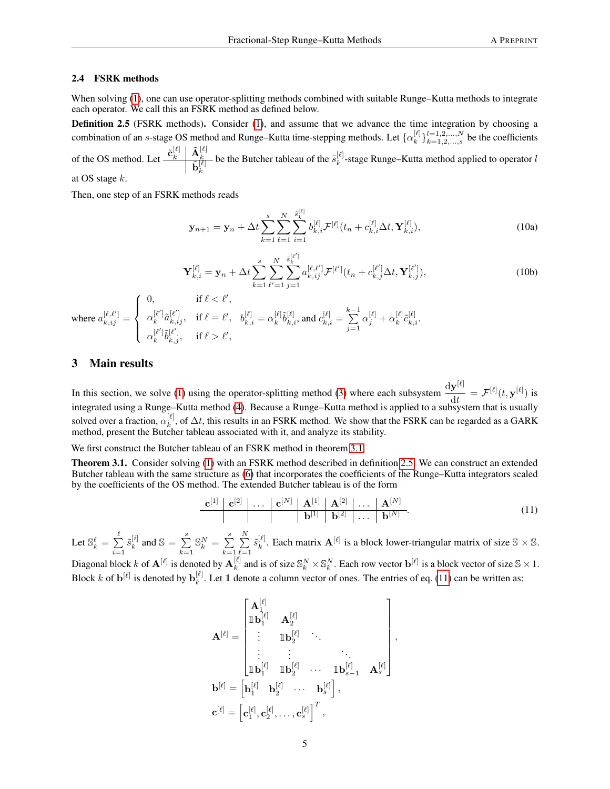#### 2.4 FSRK methods

When solving [\(1\)](#page-1-1), one can use operator-splitting methods combined with suitable Runge–Kutta methods to integrate each operator. We call this an FSRK method as defined below.

<span id="page-4-2"></span>Definition 2.5 (FSRK methods). Consider [\(1\)](#page-1-1), and assume that we advance the time integration by choosing a combination of an s-stage OS method and Runge–Kutta time-stepping methods. Let  $\{\alpha_k^{[\ell]} \}$  $\{e_i\}_{k=1,2,...,N}^{l=1,2,...,N}$  be the coefficients

of the OS method. Let  $\frac{\tilde{\mathbf{c}}_k^{[\ell]} \mid \tilde{\mathbf{A}}_k^{[\ell]}}{\tilde{\mathbf{c}}_k^{[\ell]}}$  $\frac{\mathbf{h}_k}{\tilde{\mathbf{b}}^{[\ell]}_k}$ k be the Butcher tableau of the  $\tilde{s}_k^{[\ell]}$  $k^{[l]}$ -stage Runge–Kutta method applied to operator l at OS stage k.

Then, one step of an FSRK methods reads

<span id="page-4-4"></span>
$$
\mathbf{y}_{n+1} = \mathbf{y}_n + \Delta t \sum_{k=1}^{s} \sum_{\ell=1}^{N} \sum_{i=1}^{\tilde{s}_{k}^{[\ell]}} b_{k,i}^{[\ell]} \mathcal{F}^{[\ell]}(t_n + c_{k,i}^{[\ell]} \Delta t, \mathbf{Y}_{k,i}^{[\ell]}),
$$
(10a)

$$
\mathbf{Y}_{k,i}^{[\ell]} = \mathbf{y}_n + \Delta t \sum_{k=1}^{s} \sum_{\ell'=1}^{N} \sum_{j=1}^{\tilde{s}_{k}^{[\ell']} } a_{k,ij}^{[\ell,\ell']} \mathcal{F}^{[\ell']} (t_n + c_{k,j}^{[\ell']} \Delta t, \mathbf{Y}_{k,j}^{[\ell']}) ,
$$
(10b)

where  $a_{k,ij}^{[\ell,\ell']}$  =  $\sqrt{ }$  $\int$  $\overline{a}$ 0, if  $\ell < \ell'$ ,  $\alpha_k^{[\ell']}$  $\left[\begin{matrix} \ell' \\ k \end{matrix}\right]$   $\tilde{a}_{k,ij}^{[\ell']}$ , if  $\ell = \ell'$ ,  $\alpha_k^{[\ell']}$  $\left[\begin{matrix} \ell' \\ k \end{matrix}\right]$  $\tilde{b}_{k,j}^{[\ell']}$ , if  $\ell > \ell'$ ,  $b_{k,i}^{[\ell]} = \alpha_k^{[\ell]}$  $\tilde{b}_{k,i}^{[\ell]}$ , and  $c_{k,i}^{[\ell]} = \sum_{i=1}^{k-1}$  $j=1$  $\alpha_j^{[\ell]} + \alpha_k^{[\ell]}$  ${}^{[\ell]}_{k} \tilde{c}^{[\ell]}_{k,i}.$ 

## <span id="page-4-0"></span>3 Main results

In this section, we solve [\(1\)](#page-1-1) using the operator-splitting method [\(3\)](#page-2-2) where each subsystem  $\frac{dy^{[\ell]}}{dt}$  $\frac{\mathbf{y}^{(t)}}{\mathrm{d}t} = \mathcal{F}^{[\ell]}(t, \mathbf{y}^{[\ell]}) \text{ is}$ integrated using a Runge–Kutta method [\(4\)](#page-2-3). Because a Runge–Kutta method is applied to a subsystem that is usually solved over a fraction,  $\alpha_k^{[\ell]}$  $k_1^{[k]}$ , of  $\Delta t$ , this results in an FSRK method. We show that the FSRK can be regarded as a GARK method, present the Butcher tableau associated with it, and analyze its stability.

<span id="page-4-1"></span>We first construct the Butcher tableau of an FSRK method in theorem [3.1.](#page-4-1)

Theorem 3.1. Consider solving [\(1\)](#page-1-1) with an FSRK method described in definition [2.5.](#page-4-2) We can construct an extended Butcher tableau with the same structure as [\(6\)](#page-3-3) that incorporates the coefficients of the Runge–Kutta integrators scaled by the coefficients of the OS method. The extended Butcher tableau is of the form

<span id="page-4-3"></span>c [1] c [2] . . . c [N] A[1] A[2] . . . A[N] b [1] b [2] . . . b [N] . (11)

Let  $\mathbb{S}^\ell_k = \sum^\ell$  $i=1$  $\tilde{s}_k^{[i]}$  $\mathbf{R}^{[i]}$  and  $\mathbb{S} = \sum_{k=1}^{s}$  $k=1$  $\mathbb{S}_k^N = \sum^s$  $k=1$  $\sum_{i=1}^{N}$  $_{\ell=1}$  ${\tilde s}^{[\ell]}_k$  $\mathbf{k}^{[\ell]}$ . Each matrix  $\mathbf{A}^{[\ell]}$  is a block lower-triangular matrix of size  $\mathbb{S} \times \mathbb{S}$ . Diagonal block k of  $\mathbf{A}^{[\ell]}$  is denoted by  $\mathbf{A}_k^{[\ell]}$  $\mathbf{k}^{[\ell]}$  and is of size  $\mathbb{S}_k^N \times \mathbb{S}_k^N$ . Each row vector  $\mathbf{b}^{[\ell]}$  is a block vector of size  $\mathbb{S} \times 1$ . Block k of  $\mathbf{b}^{[\ell]}$  is denoted by  $\mathbf{b}_k^{[\ell]}$  $\mathcal{E}_{k}^{[\ell]}$ . Let 1 denote a column vector of ones. The entries of eq. [\(11\)](#page-4-3) can be written as:

$$
\mathbf{A}^{[\ell]} = \begin{bmatrix} \mathbf{A}^{[\ell]}_1 & \mathbf{A}^{[\ell]}_2 & & & \\ \mathbf{1}\mathbf{b}^{[\ell]}_1 & \mathbf{A}^{[\ell]}_2 & \ddots & & \\ \vdots & \mathbf{1}\mathbf{b}^{[\ell]}_2 & \ddots & & \\ \mathbf{1}\mathbf{b}^{[\ell]}_1 & \mathbf{1}\mathbf{b}^{[\ell]}_2 & \cdots & \mathbf{1}\mathbf{b}^{[\ell]}_{s-1} & \mathbf{A}^{[\ell]}_s \end{bmatrix}, \\ \mathbf{b}^{[\ell]} = \begin{bmatrix} \mathbf{b}^{[\ell]}_1 & \mathbf{b}^{[\ell]}_2 & \cdots & \mathbf{b}^{[\ell]}_s \end{bmatrix}, \\ \mathbf{c}^{[\ell]} = \begin{bmatrix} \mathbf{c}^{[\ell]}_1, \mathbf{c}^{[\ell]}_2, \ldots, \mathbf{c}^{[\ell]}_s \end{bmatrix}^T,
$$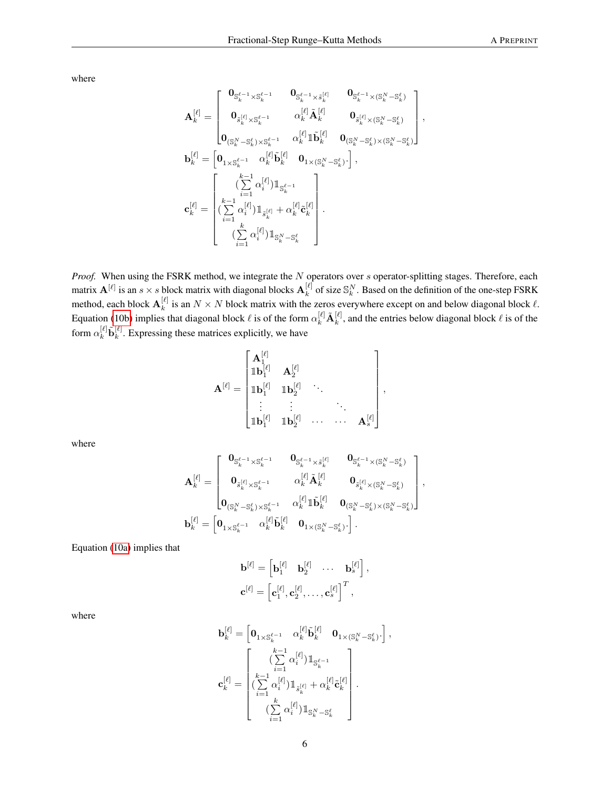where

$$
\mathbf{A}_k^{[\ell]} = \begin{bmatrix} \mathbf{0}_{\mathbb{S}_k^{\ell-1} \times \mathbb{S}_k^{\ell-1}} & \mathbf{0}_{\mathbb{S}_k^{\ell-1} \times \tilde{s}_k^{[\ell]}} & \mathbf{0}_{\mathbb{S}_k^{\ell-1} \times (\mathbb{S}_k^N - \mathbb{S}_k^{\ell})} \\ \mathbf{0}_{\tilde{s}_k^{[\ell]} \times \mathbb{S}_k^{\ell-1}} & \alpha_k^{[\ell]} \tilde{\mathbf{A}}_k^{[\ell]} & \mathbf{0}_{\tilde{s}_k^{[\ell]} \times (\mathbb{S}_k^N - \mathbb{S}_k^{\ell})} \\ \mathbf{0}_{(\mathbb{S}_k^N - \mathbb{S}_k^{\ell}) \times \mathbb{S}_k^{\ell-1}} & \alpha_k^{[\ell]} \mathbbm{1} \tilde{\mathbf{b}}_k^{[\ell]} & \mathbf{0}_{(\mathbb{S}_k^N - \mathbb{S}_k^{\ell}) \times (\mathbb{S}_k^N - \mathbb{S}_k^{\ell})} \end{bmatrix},
$$

$$
\mathbf{b}_k^{[\ell]} = \begin{bmatrix} \mathbf{0}_{1 \times \mathbb{S}_k^{\ell-1}} & \alpha_k^{[\ell]} \tilde{\mathbf{b}}_k^{[\ell]} & \mathbf{0}_{1 \times (\mathbb{S}_k^N - \mathbb{S}_k^{\ell}) \times (\mathbb{S}_k^N - \mathbb{S}_k^{\ell})} \\ (\sum_{i=1}^{k-1} \alpha_i^{[\ell]}) \mathbbm{1}_{\mathbb{S}_k^{[\ell]}} + \alpha_k^{[\ell]} \tilde{\mathbf{c}}_k^{[\ell]} \end{bmatrix}.
$$

$$
\mathbf{c}_k^{[\ell]} = \begin{bmatrix} \sum_{i=1}^{k} \alpha_i^{[\ell]} \mathbb{1}_{\mathbb{S}_k^{[\ell]}} + \alpha_k^{[\ell]} \tilde{\mathbf{c}}_k^{[\ell]} \\ (\sum_{i=1}^{k} \alpha_i^{[\ell]}) \mathbbm{1}_{\mathbb{S}_k^N - \mathbb{S}_k^{\ell}} \end{bmatrix}.
$$

*Proof.* When using the FSRK method, we integrate the N operators over s operator-splitting stages. Therefore, each matrix  $\mathbf{A}^{[\ell]}$  is an  $s \times s$  block matrix with diagonal blocks  $\mathbf{A}_k^{[\ell]}$  $\mathbf{k}^{[\ell]}$  of size  $\mathbb{S}_k^N$ . Based on the definition of the one-step FSRK method, each block  $\mathbf{A}_k^{[\ell]}$  $\mathcal{L}_{k}^{[\ell]}$  is an  $N \times N$  block matrix with the zeros everywhere except on and below diagonal block  $\ell$ . Equation [\(10b\)](#page-2-1) implies that diagonal block  $\ell$  is of the form  $\alpha_k^{[\ell]}$   $\tilde{\mathbf{A}}_k^{[\ell]}$  $\kappa^{[\ell]}$ , and the entries below diagonal block  $\ell$  is of the form  $\alpha_k^{[\ell]} \tilde{\bf b}_k^{[\ell]}$  $k<sup>[t]</sup>$ . Expressing these matrices explicitly, we have

$$
\mathbf{A}^{[\ell]} = \begin{bmatrix} \mathbf{A}^{[\ell]}_1 & & \\ \mathbf{1} \mathbf{b}^{[\ell]}_1 & \mathbf{A}^{[\ell]}_2 & \\ \mathbf{1} \mathbf{b}^{[\ell]}_1 & \mathbf{1} \mathbf{b}^{[\ell]}_2 & \ddots & \\ \vdots & \vdots & & \ddots & \\ \mathbf{1} \mathbf{b}^{[\ell]}_1 & \mathbf{1} \mathbf{b}^{[\ell]}_2 & \cdots & \cdots & \mathbf{A}^{[\ell]}_s \end{bmatrix},
$$

where

$$
\mathbf{A}_k^{[\ell]} = \begin{bmatrix} \mathbf{0}_{\mathbb{S}_k^{\ell-1} \times \mathbb{S}_k^{\ell-1}} & \mathbf{0}_{\mathbb{S}_k^{\ell-1} \times \bar{s}_k^{[\ell]}} & \mathbf{0}_{\mathbb{S}_k^{\ell-1} \times (\mathbb{S}_k^N - \mathbb{S}_k^{\ell})} \\ \mathbf{0}_{\bar{s}_k^{[\ell]} \times \mathbb{S}_k^{\ell-1}} & \alpha_k^{[\ell]} \tilde{\mathbf{A}}_k^{[\ell]} & \mathbf{0}_{\bar{s}_k^{[\ell]} \times (\mathbb{S}_k^N - \mathbb{S}_k^{\ell})} \\ \mathbf{0}_{(\mathbb{S}_k^N - \mathbb{S}_k^{\ell}) \times \mathbb{S}_k^{\ell-1}} & \alpha_k^{[\ell]} \mathbbm{1} \tilde{\mathbf{b}}_k^{[\ell]} & \mathbf{0}_{(\mathbb{S}_k^N - \mathbb{S}_k^{\ell}) \times (\mathbb{S}_k^N - \mathbb{S}_k^{\ell})} \end{bmatrix},
$$

$$
\mathbf{b}_k^{[\ell]} = \begin{bmatrix} \mathbf{0}_{1 \times \mathbb{S}_k^{\ell-1}} & \alpha_k^{[\ell]} \tilde{\mathbf{b}}_k^{[\ell]} & \mathbf{0}_{1 \times (\mathbb{S}_k^N - \mathbb{S}_k^{\ell})} \end{bmatrix}.
$$

Equation [\(10a\)](#page-2-0) implies that

$$
\begin{aligned} \mathbf{b}^{[\ell]} &= \left[\mathbf{b}_1^{[\ell]} \quad \mathbf{b}_2^{[\ell]} \quad \cdots \quad \mathbf{b}_s^{[\ell]}\right], \\ \mathbf{c}^{[\ell]} &= \left[\mathbf{c}_1^{[\ell]}, \mathbf{c}_2^{[\ell]}, \ldots, \mathbf{c}_s^{[\ell]}\right]^T, \end{aligned}
$$

where

$$
\mathbf{b}_k^{[\ell]} = \begin{bmatrix} \mathbf{0}_{1 \times \mathbb{S}_k^{\ell-1}} & \alpha_k^{[\ell]} \tilde{\mathbf{b}}_k^{[\ell]} & \mathbf{0}_{1 \times (\mathbb{S}_k^N - \mathbb{S}_k^\ell)^\centerdot} \end{bmatrix},
$$
\n
$$
\mathbf{c}_k^{[\ell]} = \begin{bmatrix} \sum\limits_{i=1}^{k-1} \alpha_i^{[\ell]} \mathbf{1}_{\mathbb{S}_k^{\ell-1}} & \\ \left(\sum\limits_{i=1}^{k-1} \alpha_i^{[\ell]} \mathbf{1}_{\mathbb{S}_k^{[\ell]}} + \alpha_k^{[\ell]} \tilde{\mathbf{c}}_k^{[\ell]} \right. & \\ \left. \sum\limits_{i=1}^{k} \alpha_i^{[\ell]} \mathbf{1}_{\mathbb{S}_k^N - \mathbb{S}_k^\ell} \right. & \end{bmatrix}.
$$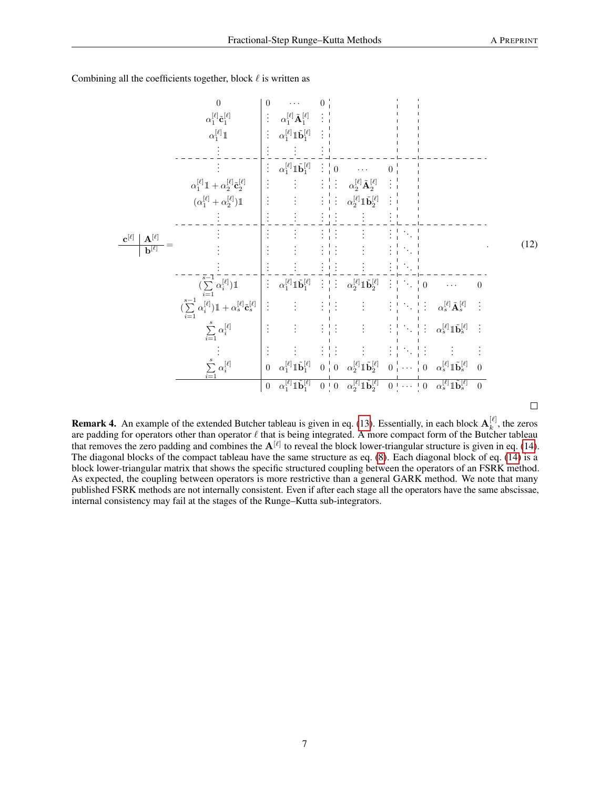Combining all the coefficients together, block  $\ell$  is written as



 $\Box$ 

**Remark 4.** An example of the extended Butcher tableau is given in eq. [\(13\)](#page-7-0). Essentially, in each block  $A_k^{[\ell]}$  $k^{\lbrack t]}$ , the zeros are padding for operators other than operator  $\ell$  that is being integrated. A more compact form of the Butcher tableau that removes the zero padding and combines the  $A^{[\ell]}$  to reveal the block lower-triangular structure is given in eq. [\(14\)](#page-7-1). The diagonal blocks of the compact tableau have the same structure as eq. [\(8\)](#page-3-2). Each diagonal block of eq. [\(14\)](#page-7-1) is a block lower-triangular matrix that shows the specific structured coupling between the operators of an FSRK method. As expected, the coupling between operators is more restrictive than a general GARK method. We note that many published FSRK methods are not internally consistent. Even if after each stage all the operators have the same abscissae, internal consistency may fail at the stages of the Runge–Kutta sub-integrators.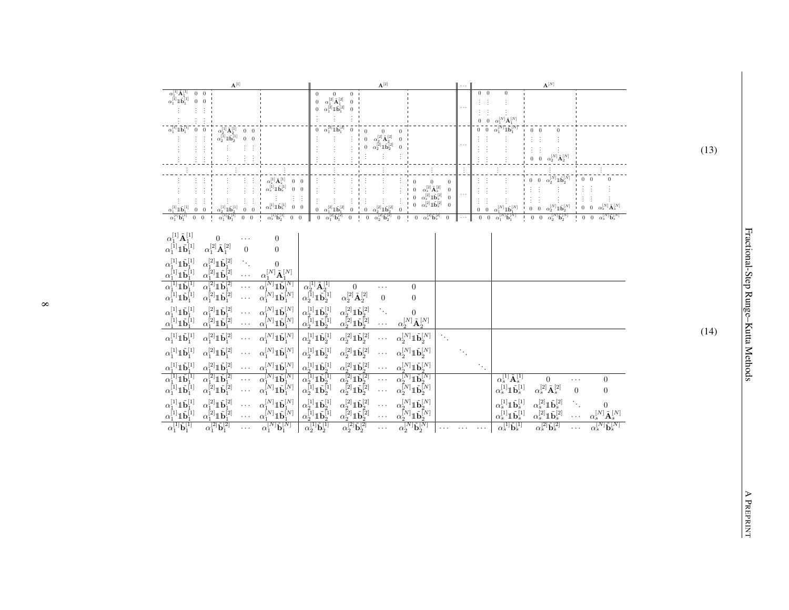<span id="page-7-0"></span>

| ${\bf A}^{[1]}$                                                                                                                                                                                                                                                                                                                                                                                                                                                                                                                                                                                                                                                                                                                                                                                     | ${\bf A}^{[2]}$                                                                                                                                                                                                                                                                                                                                                                                                                                                                                                                               |                             | ${\bf A}^{[N]}$                                                                                                                                                                                                                                                                                                                                                                                                                                               |
|-----------------------------------------------------------------------------------------------------------------------------------------------------------------------------------------------------------------------------------------------------------------------------------------------------------------------------------------------------------------------------------------------------------------------------------------------------------------------------------------------------------------------------------------------------------------------------------------------------------------------------------------------------------------------------------------------------------------------------------------------------------------------------------------------------|-----------------------------------------------------------------------------------------------------------------------------------------------------------------------------------------------------------------------------------------------------------------------------------------------------------------------------------------------------------------------------------------------------------------------------------------------------------------------------------------------------------------------------------------------|-----------------------------|---------------------------------------------------------------------------------------------------------------------------------------------------------------------------------------------------------------------------------------------------------------------------------------------------------------------------------------------------------------------------------------------------------------------------------------------------------------|
| $\frac{\alpha_1^{[1]}\tilde{\textbf{A}}_1^{[1]}}{\alpha_1^{[1]}\mathbf{1}\tilde{\textbf{b}}_1^{[1]}}$<br>$0 \t 0 \t 1$<br>$0\quad 0$                                                                                                                                                                                                                                                                                                                                                                                                                                                                                                                                                                                                                                                                | $\overline{0}$<br>0 <sub>1</sub><br>$\Omega$<br>$\alpha^{[2]}_{1} \tilde{\mathbf{A}}^{[2]}_{1}$ $\alpha^{[2]}_{1} 1 \tilde{\mathbf{b}}^{[2]}_{1}$<br>$\overline{0}$<br>0 <sub>1</sub><br>$\boldsymbol{0}$<br>$\boldsymbol{0}$                                                                                                                                                                                                                                                                                                                 | .                           | $0\quad 0$<br>$\bf{0}$<br>$\hspace{0.1cm} 0$<br>$\boldsymbol{0}$                                                                                                                                                                                                                                                                                                                                                                                              |
| $\alpha_1^{[1]}\mathbf{1}\bar{\mathbf{b}}_1^{[1]}$<br>$0 \quad 0 \quad i$<br>$\alpha_2^{\bar{[1]}} \tilde{\mathbf{A}}_2^{\bar{[1]}} \alpha_2^{\bar{[1]}} 1 \tilde{\mathbf{b}}_2^{\bar{[1]}}$<br>$0\quad 0$<br>$\vdots$<br>$0\quad 0$<br>÷,<br>- E                                                                                                                                                                                                                                                                                                                                                                                                                                                                                                                                                   | $\begin{bmatrix} 0 & \alpha_1^{[2]} \mathbbm{1} \tilde{\mathbf{b}}_1^{[2]} \end{bmatrix}$<br>$\boldsymbol{0}$<br>$\blacksquare$<br>$\Omega$<br>$\overline{0}$<br>$\overline{0}$<br>$\alpha_2^{[2]}\tilde{\mathbf{A}}_2^{[2]}$<br>$\alpha_2^{[2]}\mathbbm{1}\tilde{\mathbf{b}}_2^{[2]}$<br>$\,0\,$<br>$\,0\,$<br>$\boldsymbol{0}$<br>$\blacksquare$                                                                                                                                                                                            | .                           | $\frac{\alpha_1^{[N]}\tilde{\mathbf{A}}_1^{[N]}}{\alpha_1^{[\overline{N}]} \mathbbm{1}\,\tilde{\bar{\mathbf{b}}}^{[\overline{N}]}_1}$<br>$0\quad 0\quad$<br>$\boldsymbol{0}$<br>$0 \quad 0$<br>÷<br>$0 \quad 0 \quad \alpha_2^{[N]}\tilde{\mathbf{A}}_2^{[N]}$                                                                                                                                                                                                |
| Ħ<br>$\alpha_s^{[1]}\tilde{\mathbf{A}}_s^{[1]} \\ \alpha_s^{[1]}\mathbb{1}\tilde{\mathbf{b}}_s^{[1]}$<br>$\frac{1}{2}$ . $\frac{1}{2}$<br>$0\quad 0$<br>$0\quad 0$<br>Ť,<br>$\frac{1}{2}$<br>÷<br>$\ddot{\div}$<br>÷<br>- E                                                                                                                                                                                                                                                                                                                                                                                                                                                                                                                                                                         | ŧ.<br>$\overline{0}$<br>$\mathbf{0}$<br>$\begin{array}{c} \alpha_s^{[2]}\tilde{\textbf{A}}^{[2]}_s \\ \alpha_s^{[2]}1\tilde{\textbf{b}}^{[2]}_s \\ \alpha_s^{[2]}1\tilde{\textbf{b}}^{[2]}_s \end{array}$<br>$\boldsymbol{0}$<br>$\boldsymbol{0}$<br>İ<br>$\boldsymbol{0}$<br>$\overline{0}$                                                                                                                                                                                                                                                  | $\cdots$                    | $\begin{array}{cc} 0 & 0 & \alpha_2^{[N]} 1 \tilde{\mathbf{b}}_2^{[N]} \end{array}$<br>$\,0\,$<br>$0 \quad 0$                                                                                                                                                                                                                                                                                                                                                 |
| $\alpha_s^{[1]}\mathbbm{1}\tilde{\mathbf{b}}_s^{[1]}$<br>$0\quad 0\quad$<br>$\frac{\alpha^{[1]}_1 1\tilde{\mathbf{b}}^{[1]}_1}{\alpha^{[1]}_1\tilde{\mathbf{b}}^{[1]}_1}$<br>$\alpha_2^{[1]}1\tilde{\mathbf{b}}_2^{[1]}$<br>$\mathbf{1}$<br>$\boldsymbol{0}$<br>$\boldsymbol{0}$<br>$\mathbf{0}$<br>$\theta$<br>$\alpha_1^{[1]}\tilde{\mathbf{b}}_1^{[1]}$<br>$\alpha_s^{[1]}\tilde{\mathbf{b}}^{[1]}_2$<br>$0\quad 0$<br>$\sim 1$<br>$0 \quad 0$<br>$0 \quad 0$<br>$\sim$ 1                                                                                                                                                                                                                                                                                                                        | $\boldsymbol{0}$<br>$\overline{0}$<br>$\alpha_1^{[2]}1\tilde{\bf b}_1^{[2]}$<br>$\alpha_2^{[2]} {\bf 1} \, \tilde{\bf b}_2^{[2]}$<br>$\overline{0}$<br>$\boldsymbol{0}$<br>$\overline{0}$<br>$\overline{0}$<br>$\begin{array}{cc} 0 & \alpha_s^{[2]} \tilde{\mathbf{b}}_s^{[2]} \end{array}$<br>$\alpha_2^{[2]}\tilde{\mathbf{b}}_2^{[2]}$<br>$\alpha_1^{[2]} \tilde{\mathbf{b}}_1^{[2]}$<br>$\overline{0}$<br>$\boldsymbol{0}$<br>$\mathbf{0}$<br>$\sim 1$<br>$\boldsymbol{0}$<br>$\sim$ 1 $\,$<br>$\overline{0}$                            | $\dots$                     | $\alpha_s^{[N]} \tilde{\textbf{A}}_s^{[N]}$<br>$\alpha_1^{[N]} {\mathbbm{1}} \tilde {\mathbf{b}}_1^{[N]} \quad \  0 \quad 0 \quad \alpha_2^{[N]} {\mathbbm{1}} \tilde {\mathbf{b}}_2^{[N]} \quad \  0 \quad 0$<br>$\overline{0}$<br>$\overline{0}$<br>$\frac{1}{2}$ 0 0 $\alpha_2^{[N]}$ <b>b</b> <sub>2</sub> <sup>[N]</sup> $\frac{1}{2}$ 0 0<br>$\alpha_s^{[N]}$ $\tilde{\mathbf{b}}_s^{[N]}$<br>$\alpha_1^{[N]} \tilde{\mathbf{b}}_1^{[N]}$<br>$0\quad 0$ |
| $\begin{array}{c} \alpha _{1}^{\left[ 1 \right]}\tilde{\mathbf{A}}_{1}^{\left[ 1 \right]} \\ \alpha _{1}^{\left[ 1 \right]}\mathbb{I}\tilde{\mathbf{b}}_{1}^{\left[ 1 \right]} \end{array}$<br>$\boldsymbol{0}$<br>$\overline{0}$<br>$\cdots$<br>$\alpha_1^{[2]}\tilde{\mathbf{A}}_1^{[2]}$<br>$\overline{0}$<br>$\theta$                                                                                                                                                                                                                                                                                                                                                                                                                                                                           |                                                                                                                                                                                                                                                                                                                                                                                                                                                                                                                                               |                             |                                                                                                                                                                                                                                                                                                                                                                                                                                                               |
| $\alpha_1^{[1]}\mathbbm{1}\tilde{\mathbf{b}}_1^{[1]}$<br>$\alpha_1^{[2]} 1 \tilde{\bf b}_1^{[2]}$<br>$\overline{0}$<br>$\alpha_1^{[N]}\tilde{\mathbf{A}}_1^{[N]}$<br>$\alpha_1^{[1]} 1 \tilde{\bf b}_1^{[1]}$<br>$\alpha_1^{[2]} 1 \tilde{\mathbf{b}}_1^{[2]}$<br>$\ldots$<br>$\overset{\phantom{1}}{\alpha_1^{[1]}}\overset{\phantom{1}}{1}\overset{\phantom{1}}{\mathbf{\tilde{b}}_1^{[1]}}\ \phantom{-101\phantom{1}\mathbf{\tilde{b}}_1^{[1]}}$<br>$\overbrace{ \alpha_1^{[N]}\mathbb{1}\tilde{\mathbf{b}}_1^{[N]}}^{\alpha_1^{[N]}\mathbb{1}\tilde{\mathbf{b}}_1^{[N]}}$<br>$\overset{\phantom{1}}{\underset{\alpha_{1}^{[2]}}{\alpha_{1}^{[2]}}1\tilde{\mathbf{b}}_{1}^{[2]}}\ \overset{\phantom{1}}{\underset{\alpha_{1}^{[2]}}{\alpha_{1}^{[2]}}1\tilde{\mathbf{b}}_{1}^{[2]}}$<br>$\cdots$ | $\frac{\alpha_2^{[1]}\tilde{\mathbf{A}}_2^{[1]}}{\alpha_2^{[1]}\mathbb{1}\tilde{\mathbf{b}}_2^{[1]}}$<br>$\overline{0}$<br>$\boldsymbol{0}$<br>.                                                                                                                                                                                                                                                                                                                                                                                              |                             |                                                                                                                                                                                                                                                                                                                                                                                                                                                               |
| $\ldots$<br>$\alpha_1^{[1]} \mathbb{1} \tilde{\mathbf{b}}_1^{[1]}$<br>$\alpha_1^{[2]} 1 \tilde{\mathbf{b}}_1^{[2]}$<br>$\alpha_1^{[N]} \mathbb{1} \tilde{\mathbf{b}}_1^{[N]}$<br>.<br>$\alpha_1^{[2]} 1 \tilde{\bf b}_1^{[2]}$<br>$\alpha_1^{[N]} \mathbb{1} \tilde{\mathbf{b}}_1^{[N]}$<br>$\alpha_1^{[1]} 1 \tilde{\mathbf{b}}_1^{[1]}$<br>$\cdots$                                                                                                                                                                                                                                                                                                                                                                                                                                               | $\alpha_2^{[2]}\tilde{\mathbf{A}}_2^{[2]}$<br>$\theta$<br>$\theta$<br>$\begin{array}{c} \alpha _{2}^{[1]}1\tilde{\mathbf{b}}_{2}^{[1]} \\ \alpha _{2}^{[1]}1\tilde{\mathbf{b}}_{2}^{[1]} \end{array}$<br>$\begin{array}{c} \alpha _{2}^{[2]}1\tilde{\mathbf{b}}_{2}^{[2]} \\ \alpha _{2}^{[2]}1\tilde{\mathbf{b}}_{2}^{[2]} \end{array}$<br>$\mathcal{F}_{\mathcal{A}}$<br>$\boldsymbol{0}$<br>$\alpha_2^{[N]}\tilde{\mathbf{A}}_2^{[N]}$<br>$\ldots$                                                                                         |                             |                                                                                                                                                                                                                                                                                                                                                                                                                                                               |
| $\alpha_1^{[1]} \mathbbm{1} \tilde{\mathbf{b}}_1^{[1]}$<br>$\alpha_1^{[N]}\mathbbm{1}\tilde{\mathbf{b}}_1^{[N]}$<br>$\alpha_1^{[2]}\mathbbm{1}\tilde{\mathbf{b}}_1^{[2]}$<br>$\ldots$<br>$\alpha_1^{[1]} \mathbbm{1} \tilde{\mathbf{b}}_1^{[1]}$<br>$\alpha_1^{[2]} 1 \tilde{\bf b}_1^{[2]}$<br>$\alpha_1^{[N]}1\tilde{\bf b}_1^{[N]}$<br>$\ldots$                                                                                                                                                                                                                                                                                                                                                                                                                                                  | $\alpha_2^{[1]} \mathbb{1}\tilde{\mathbf{b}}_2^{[1]}$<br>$\alpha_2^{[2]}\mathbb{1}\tilde{\mathbf{b}}_2^{[2]}$<br>$\alpha_2^{[N]}\mathbbm{1}\tilde{\mathbf{b}}_2^{[N]}$<br>$\mathcal{L}_{\mathcal{A}}$<br>.<br>$\alpha_2^{[1]}1\tilde{\mathbf{b}}_2^{[1]}$<br>$\alpha_2^{[2]} 1 \tilde{\bf b}_2^{[2]}$<br>$\alpha_2^{[N]}\mathbbm{1}\tilde{\mathbf{b}}_2^{[N]}$<br>$\ldots$                                                                                                                                                                    | $\mathcal{L}_{\mathcal{A}}$ |                                                                                                                                                                                                                                                                                                                                                                                                                                                               |
| $\alpha_1^{[1]} \mathbbm{1} \tilde{\mathbf{b}}_1^{[1]}$<br>$\alpha_1^{[2]} 1 \tilde{\mathbf{b}}_1^{[2]}$<br>$\alpha_1^{[N]} \mathbbm{1} \tilde{\mathbf{b}}_1^{[N]}$<br>$\ddotsc$<br>$\overset{\cdot \cdot \cdot }{\alpha _{1}^{\left[ 1 \right]}\mathbf{1}\tilde{\mathbf{b}}_{1}^{\left[ 1 \right]}}\hspace{0.01cm}\overset{\cdot \cdot \cdot }{\alpha _{1}^{\left[ 1 \right]}\mathbf{1}\tilde{\mathbf{b}}_{1}^{\left[ 1 \right]}}$<br>$\overset{\sim}{\alpha_1^{[2]}}\overset{\sim}{1}\overset{\sim}{\mathbf{\tilde{b}}_1^{[2]}}\ \overset{\sim}{\alpha_1^{[2]}}\overset{\sim}{1}\overset{\sim}{\mathbf{\tilde{b}}_1^{[2]}}$<br>$\alpha_1^{[N]}1\tilde{\mathbf{b}}_1^{[N]}$<br>$\ldots$<br>$\alpha_1^{[N]} \mathbb{1} \tilde{\mathbf{b}}_1^{[N]}$                                                  | $\alpha_2^{[1]} \mathbbm{1} \tilde{\mathbf{b}}_2^{[1]}$<br>$\alpha_2^{[2]}\mathbb{1}\tilde{\mathbf{b}}_2^{[2]}$<br>$\alpha_2^{[N]}\mathbbm{1}\tilde{\mathbf{b}}_2^{[N]}$<br>$\cdots$<br>$\frac{\alpha_2^{[2]}\mathbb{1}\tilde{\mathbf{b}}_2^{[2]}}{\alpha_2^{[2]}\mathbb{1}\tilde{\mathbf{b}}_2^{[2]}}$<br>$\frac{\alpha_2^{[N]}\mathbbm{1}\tilde{\mathbf{b}}_2^{[N]}}{\alpha_2^{[N]}\mathbbm{1}\tilde{\mathbf{b}}_2^{[N]}}$<br>$\frac{\alpha_2^{[1]} 1 \tilde{\mathbf{b}}_2^{[1]}}{\alpha_2^{[1]} 1 \tilde{\mathbf{b}}_2^{[1]}}$<br>$\ldots$ |                             | $\alpha_s^{[1]}\tilde{\textbf{A}}_s^{[1]}$<br>$\boldsymbol{0}$<br>$\overline{0}$<br>$\cdots$<br>$\alpha_s^{[2]}\tilde{\mathbf{A}}_s^{[2]}$<br>$\alpha_s^{[1]} 1 \tilde{\bf b}_s^{[1]}$<br>$\boldsymbol{0}$<br>$\theta$                                                                                                                                                                                                                                        |
| $\cdots$<br>$\alpha_1^{[1]} \mathbb{1} \tilde{\mathbf{b}}_1^{[1]}$<br>$\begin{array}{c} \alpha _{1}^{[2]}1\tilde{\mathbf{b}}_{1}^{[2]} \\ \alpha _{1}^{[2]}1\tilde{\mathbf{b}}_{1}^{[2]} \end{array}$<br>$\begin{array}{c} \boldsymbol{\alpha}_1^{[N]}\mathbbm{1}\tilde{\mathbf{b}}_1^{[N]} \\ \boldsymbol{\alpha}_1^{[N]}\mathbbm{1}\tilde{\mathbf{b}}_1^{[N]} \end{array}$<br>$\cdots$<br>$\alpha_1^{[1]} \mathbb{1} \tilde{\mathbf{b}}_1^{[1]}$<br>$\cdots$                                                                                                                                                                                                                                                                                                                                      | .<br>$\alpha_2^{\left[ 1 \right]} \mathbbm{1} \tilde{\mathbf{b}}_2^{\left[ 1 \right]} \\ \alpha_2^{\left[ 1 \right]} \mathbbm{1} \tilde{\mathbf{b}}_2^{\left[ 1 \right]}$<br>$\begin{array}{c} \alpha _{2}^{[2]}1\tilde{\mathbf{b}}_{2}^{[2]} \\ \alpha _{2}^{[2]}1\tilde{\mathbf{b}}_{2}^{[2]} \end{array}$<br>$\alpha_2^{[N]}\mathbbm{1}\tilde{\mathbf{b}}_2^{[N]}\\ \alpha_2^{[N]}\mathbbm{1}\tilde{\mathbf{b}}_2^{[N]}$<br>$\ldots$<br>$\ldots$                                                                                           |                             | $\begin{array}{c} \alpha_s^{[2]}\mathbbm{1}\tilde{\mathbf{b}}_s^{[2]} \\ \alpha_s^{[2]}\mathbbm{1}\tilde{\mathbf{b}}_s^{[2]} \end{array}$<br>$\alpha_s^{[1]} 1 \tilde{\bf b}_s^{[1]}$<br>$\overline{0}$<br>$\alpha_s^{\tilde{[}1]}\mathbb{1}\tilde{\mathbf{b}}_s^{\tilde{[}1]}$<br>$\alpha_s^{[N]}\tilde{\mathbf{A}}_s^{[N]}$<br>$\cdots$                                                                                                                     |
| $\alpha_1^{[1]}\tilde{\mathbf{b}}_1^{[1]}$<br>$\alpha_1^{[2]}\tilde{\mathbf{b}}_1^{[2]}$<br>$\alpha_1^{[N]}\tilde{\mathbf{b}}_1^{[N]}$<br>$\ldots$                                                                                                                                                                                                                                                                                                                                                                                                                                                                                                                                                                                                                                                  | $\alpha_2^{[1]}\tilde{\mathbf{b}}_2^{[1]}$<br>$\alpha_2^{[2]}\tilde{\mathbf{b}}_2^{[2]}$<br>$\alpha_2^{[N]}\tilde{\mathbf{b}}_2^{[N]}$<br>$\ldots$                                                                                                                                                                                                                                                                                                                                                                                            |                             | $\alpha_s^{[N]}\tilde{\mathbf{b}}_s^{[N]}$<br>$\alpha_s^{[2]} \tilde{\mathbf{b}}_s^{[2]}$<br>$\alpha_s^{[1]} \tilde{\mathbf{b}}_s^{[1]}$<br>$\cdots$                                                                                                                                                                                                                                                                                                          |

(13)

<span id="page-7-1"></span>(14)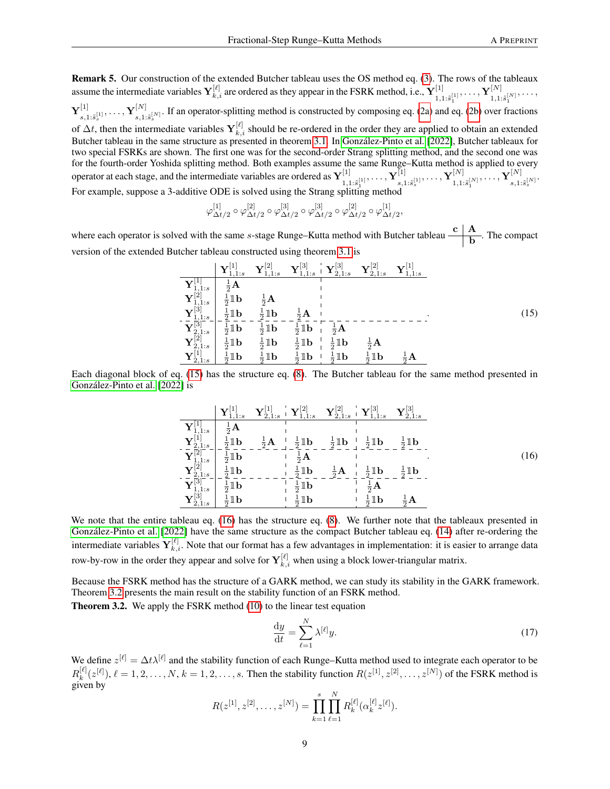Remark 5. Our construction of the extended Butcher tableau uses the OS method eq. [\(3\)](#page-2-2). The rows of the tableaux assume the intermediate variables  $Y_{k,i}^{[\ell]}$  are ordered as they appear in the FSRK method, i.e.,  $Y_{1,1}^{[1]}$  $\mathbf{Y}^{[1]}_{1,1:\tilde{s}^{[1]}_{1}},\ldots,\mathbf{Y}^{[N]}_{1,1:}$  $\prod_{1,1:\tilde{s}_1^{[N]}},\ldots,$  $\mathbf{Y}^{[1]}$  $\mathbf{Y}^{[1]}_{s,1:\tilde{s}^{[1]}_{s},\cdots}, \mathbf{Y}^{[N]}_{s,1:}$  $s,1:\tilde{s}_{s}^{[N]}$ . If an operator-splitting method is constructed by composing eq. [\(2a\)](#page-2-0) and eq. [\(2b\)](#page-2-1) over fractions of  $\Delta t$ , then the intermediate variables  $Y_{k,i}^{[\ell]}$  should be re-ordered in the order they are applied to obtain an extended Butcher tableau in the same structure as presented in theorem [3.1.](#page-4-1) In [González-Pinto et al.](#page-18-8) [\[2022\]](#page-18-8), Butcher tableaux for two special FSRKs are shown. The first one was for the second-order Strang splitting method, and the second one was for the fourth-order Yoshida splitting method. Both examples assume the same Runge–Kutta method is applied to every operator at each stage, and the intermediate variables are ordered as  $Y_{1,1}^{[1]}$  $\mathbf{Y}^{[1]}_{1,1:\tilde{s}^{[1]}_{1}},\ldots,\mathbf{Y}^{[1]}_{s,1}$  $\mathbf{Y}^{[1]}_{s,1:\tilde{s}^{[1]}_s},\ldots,\mathbf{Y}^{[N]}_{1,1s}$  $\mathbf{Y}^{[N]}_{1,1:\widetilde{s}^{[N]}_1}, \ldots, \mathbf{Y}^{[N]}_{s,1:}$  $_{s,1:\tilde{s}_{s}^{[N]}}$ . For example, suppose a 3-additive ODE is solved using the Strang splitting method

<span id="page-8-0"></span>
$$
\varphi_{\Delta t/2}^{[1]}\circ\varphi_{\Delta t/2}^{[2]}\circ\varphi_{\Delta t/2}^{[3]}\circ\varphi_{\Delta t/2}^{[3]}\circ\varphi_{\Delta t/2}^{[2]}\circ\varphi_{\Delta t/2}^{[1]},
$$

where each operator is solved with the same *s*-stage Runge–Kutta method with Butcher tableau  $\frac{c}{b}$ . The compact version of the extended Butcher tableau constructed using theorem [3.1](#page-4-1) is

Y [1] <sup>1</sup>,1:<sup>s</sup> Y [2] <sup>1</sup>,1:<sup>s</sup> Y [3] <sup>1</sup>,1:<sup>s</sup> Y [3] <sup>2</sup>,1:<sup>s</sup> Y [2] <sup>2</sup>,1:<sup>s</sup> Y [1] 1,1:s Y [1] 1,1:s 1 <sup>2</sup>A Y [2] 1,1:s 1 2 1b 1 <sup>2</sup>A Y [3] 1,1:s 1 2 1b 1 2 1b 1 <sup>2</sup>A Y [3] 2,1:s 1 2 1b 1 2 1b 1 2 1b 1 <sup>2</sup>A Y [2] 2,1:s 1 2 1b 1 2 1b 1 2 1b 1 2 1b 1 <sup>2</sup>A Y [1] 2,1:s 1 2 1b 1 2 1b 1 2 1b 1 2 1b 1 2 1b 1 <sup>2</sup>A . (15)

<span id="page-8-1"></span>Each diagonal block of eq. [\(15\)](#page-8-0) has the structure eq. [\(8\)](#page-3-2). The Butcher tableau for the same method presented in [González-Pinto et al.](#page-18-8) [\[2022\]](#page-18-8) is

Y [1] <sup>1</sup>,1:<sup>s</sup> Y [1] <sup>2</sup>,1:<sup>s</sup> Y [2] <sup>1</sup>,1:<sup>s</sup> Y [2] <sup>2</sup>,1:<sup>s</sup> Y [3] <sup>1</sup>,1:<sup>s</sup> Y [3] 2,1:s Y [1] 1,1:s 1 <sup>2</sup>A Y [1] 2,1:s 1 2 1b 1 <sup>2</sup><sup>A</sup> <sup>1</sup> 2 1b 1 2 1b 1 2 1b 1 2 1b Y [2] 1,1:s 1 2 1b 1 <sup>2</sup>A Y [2] 2,1:s 1 2 1b 1 2 1b 1 <sup>2</sup><sup>A</sup> <sup>1</sup> 2 1b 1 2 1b Y [3] 1,1:s 1 2 1b 1 2 1b 1 <sup>2</sup>A Y [3] 2,1:s 1 2 1b 1 2 1b 1 2 1b 1 <sup>2</sup>A . (16)

We note that the entire tableau eq. [\(16\)](#page-8-1) has the structure eq. [\(8\)](#page-3-2). We further note that the tableaux presented in [González-Pinto et al.](#page-18-8) [\[2022\]](#page-18-8) have the same structure as the compact Butcher tableau eq. [\(14\)](#page-7-1) after re-ordering the intermediate variables  $Y_{k,i}^{[\ell]}$ . Note that our format has a few advantages in implementation: it is easier to arrange data row-by-row in the order they appear and solve for  $Y_{k,i}^{[\ell]}$  when using a block lower-triangular matrix.

Because the FSRK method has the structure of a GARK method, we can study its stability in the GARK framework. Theorem [3.2](#page-8-2) presents the main result on the stability function of an FSRK method.

<span id="page-8-2"></span>Theorem 3.2. We apply the FSRK method [\(10\)](#page-4-4) to the linear test equation

<span id="page-8-3"></span>
$$
\frac{\mathrm{d}y}{\mathrm{d}t} = \sum_{\ell=1}^{N} \lambda^{[\ell]} y. \tag{17}
$$

We define  $z^{[\ell]} = \Delta t \lambda^{[\ell]}$  and the stability function of each Runge–Kutta method used to integrate each operator to be  $R_k^{[\ell]}$  $k^{[\ell]}(z^{[\ell]}), \ell = 1, 2, \ldots, N, k = 1, 2, \ldots, s$ . Then the stability function  $R(z^{[1]}, z^{[2]}, \ldots, z^{[N]})$  of the FSRK method is given by

$$
R(z^{[1]}, z^{[2]}, \ldots, z^{[N]}) = \prod_{k=1}^{s} \prod_{\ell=1}^{N} R_k^{[\ell]}(\alpha_k^{[\ell]} z^{[\ell]}).
$$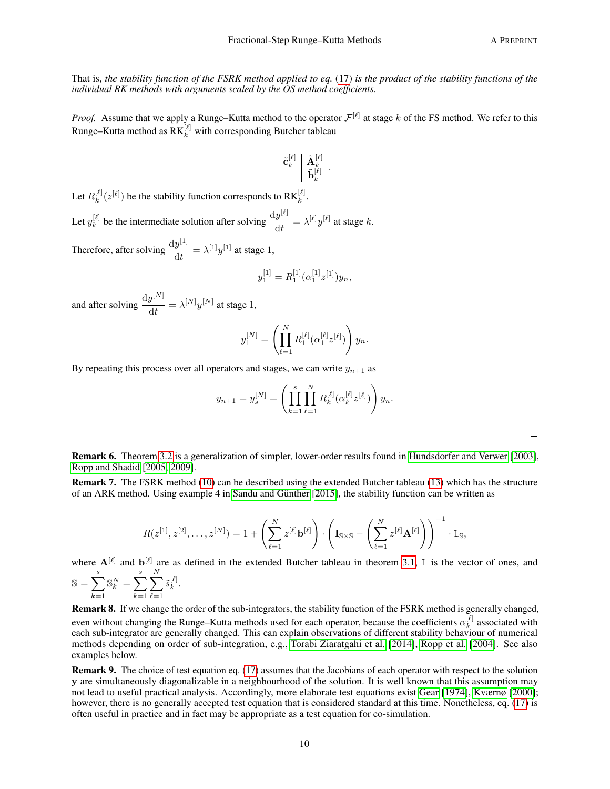That is, *the stability function of the FSRK method applied to eq.* [\(17\)](#page-8-3) *is the product of the stability functions of the individual RK methods with arguments scaled by the OS method coefficients.*

*Proof.* Assume that we apply a Runge–Kutta method to the operator  $\mathcal{F}^{[\ell]}$  at stage k of the FS method. We refer to this Runge–Kutta method as  $\mathrm{RK}_k^{[\ell]}$  with corresponding Butcher tableau

$$
\frac{\tilde{\mathbf{c}}_k^{[\ell]}\quad \tilde{\mathbf{A}}_k^{[\ell]}}{\tilde{\mathbf{b}}_k^{[\ell]}}.
$$

Let  $R_k^{[\ell]}$  $\binom{[\ell]}{k} (z^{[\ell]})$  be the stability function corresponds to RK $_k^{[\ell]}$ .

Let  $y_k^{[\ell]}$  $\frac{[\ell]}{k}$  be the intermediate solution after solving  $\frac{dy^{[\ell]}}{dt}$  $\frac{y^{k}}{\mathrm{d}t} = \lambda^{[\ell]} y^{[\ell]}$  at stage k.

Therefore, after solving  $\frac{dy^{[1]}}{dt}$  $\frac{y^{1}}{dt} = \lambda^{[1]} y^{[1]}$  at stage 1,

$$
y_1^{[1]} = R_1^{[1]}(\alpha_1^{[1]}z^{[1]})y_n,
$$

and after solving  $\frac{dy^{[N]}}{dt}$  $\frac{dy^{N-1}}{dt} = \lambda^{[N]} y^{[N]}$  at stage 1,

$$
y_1^{[N]} = \left(\prod_{\ell=1}^N R_1^{[\ell]}(\alpha_1^{[\ell]} z^{[\ell]})\right) y_n.
$$

By repeating this process over all operators and stages, we can write  $y_{n+1}$  as

$$
y_{n+1} = y_s^{[N]} = \left(\prod_{k=1}^s \prod_{\ell=1}^N R_k^{[\ell]}(\alpha_k^{[\ell]} z^{[\ell]})\right) y_n.
$$

Remark 6. Theorem [3.2](#page-8-2) is a generalization of simpler, lower-order results found in [Hundsdorfer and Verwer](#page-17-2) [\[2003\]](#page-17-2), [Ropp and Shadid](#page-19-4) [\[2005,](#page-19-4) [2009\]](#page-19-5).

Remark 7. The FSRK method [\(10\)](#page-4-4) can be described using the extended Butcher tableau [\(13\)](#page-7-0) which has the structure of an ARK method. Using example 4 in [Sandu and Günther](#page-19-1) [\[2015\]](#page-19-1), the stability function can be written as

$$
R(z^{[1]}, z^{[2]}, \ldots, z^{[N]}) = 1 + \left(\sum_{\ell=1}^N z^{[\ell]} \mathbf{b}^{[\ell]}\right) \cdot \left(\mathbf{I}_{\mathbb{S}\times\mathbb{S}} - \left(\sum_{\ell=1}^N z^{[\ell]} \mathbf{A}^{[\ell]}\right)\right)^{-1} \cdot \mathbb{1}_{\mathbb{S}},
$$

where  $A^{[\ell]}$  and  $b^{[\ell]}$  are as defined in the extended Butcher tableau in theorem [3.1,](#page-4-1) 1 is the vector of ones, and

$$
S = \sum_{k=1}^{s} S_k^N = \sum_{k=1}^{s} \sum_{\ell=1}^{N} \tilde{s}_{k}^{[\ell]}.
$$

Remark 8. If we change the order of the sub-integrators, the stability function of the FSRK method is generally changed, even without changing the Runge–Kutta methods used for each operator, because the coefficients  $\alpha_k^{[\ell]}$  $k^{\left[\ell\right]}$  associated with each sub-integrator are generally changed. This can explain observations of different stability behaviour of numerical methods depending on order of sub-integration, e.g., [Torabi Ziaratgahi et al.](#page-19-6) [\[2014\]](#page-19-6), [Ropp et al.](#page-18-6) [\[2004\]](#page-18-6). See also examples below.

Remark 9. The choice of test equation eq. [\(17\)](#page-8-3) assumes that the Jacobians of each operator with respect to the solution y are simultaneously diagonalizable in a neighbourhood of the solution. It is well known that this assumption may not lead to useful practical analysis. Accordingly, more elaborate test equations exist [Gear](#page-19-7) [\[1974\]](#page-19-7), [Kværnø](#page-19-8) [\[2000\]](#page-19-8); however, there is no generally accepted test equation that is considered standard at this time. Nonetheless, eq. [\(17\)](#page-8-3) is often useful in practice and in fact may be appropriate as a test equation for co-simulation.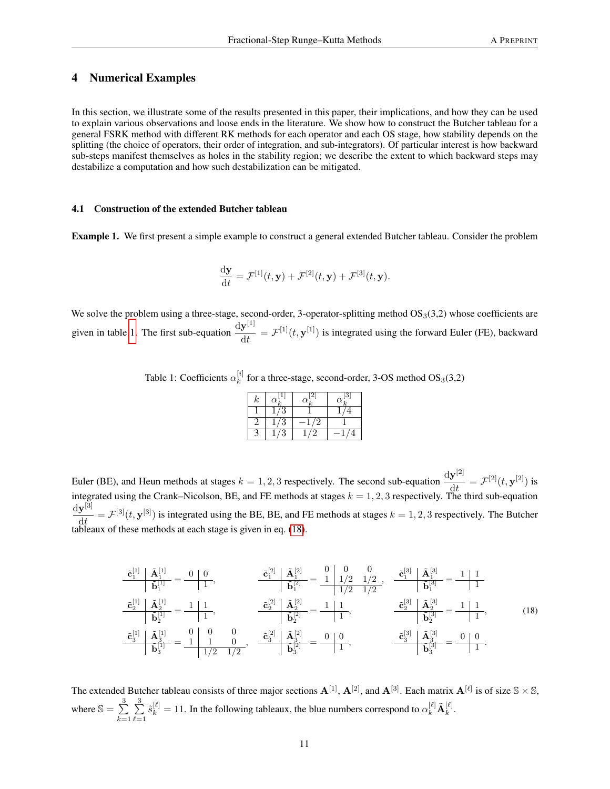## <span id="page-10-0"></span>4 Numerical Examples

In this section, we illustrate some of the results presented in this paper, their implications, and how they can be used to explain various observations and loose ends in the literature. We show how to construct the Butcher tableau for a general FSRK method with different RK methods for each operator and each OS stage, how stability depends on the splitting (the choice of operators, their order of integration, and sub-integrators). Of particular interest is how backward sub-steps manifest themselves as holes in the stability region; we describe the extent to which backward steps may destabilize a computation and how such destabilization can be mitigated.

#### 4.1 Construction of the extended Butcher tableau

Example 1. We first present a simple example to construct a general extended Butcher tableau. Consider the problem

$$
\frac{\mathrm{d}\mathbf{y}}{\mathrm{d}t} = \mathcal{F}^{[1]}(t, \mathbf{y}) + \mathcal{F}^{[2]}(t, \mathbf{y}) + \mathcal{F}^{[3]}(t, \mathbf{y}).
$$

We solve the problem using a three-stage, second-order, 3-operator-splitting method  $OS<sub>3</sub>(3,2)$  whose coefficients are given in table [1.](#page-10-1) The first sub-equation  $\frac{dy^{[1]}}{dt}$  $\frac{\mathbf{y}^{(1)}}{\mathrm{d}t} = \mathcal{F}^{[1]}(t, \mathbf{y}^{[1]})$  is integrated using the forward Euler (FE), backward

> <span id="page-10-1"></span>Table 1: Coefficients  $\alpha_k^{[i]}$  $k \atop k$  for a three-stage, second-order, 3-OS method  $OS_3(3,2)$

| к | $\alpha$ | $\alpha$ | $\alpha$ |
|---|----------|----------|----------|
|   |          |          |          |
|   |          |          |          |
|   |          |          |          |

Euler (BE), and Heun methods at stages  $k = 1, 2, 3$  respectively. The second sub-equation  $\frac{dy^{[2]}}{dt} = \mathcal{F}^{[2]}(t, y^{[2]})$  is Let  $(\Sigma, \Sigma)$ , and Hean methods at stages  $k = 1, 2, 3$  respectively. The second sub-equation dt dt integrated using the Crank–Nicolson, BE, and FE methods at stages  $k = 1, 2, 3$  respectively. The third sub-equation  $\mathrm{d}\mathbf{y}^{[3]}$  $\frac{\mathbf{y}^{(1)}}{\mathrm{d}t} = \mathcal{F}^{[3]}(t, \mathbf{y}^{[3]})$  is integrated using the BE, BE, and FE methods at stages  $k = 1, 2, 3$  respectively. The Butcher tableaux of these methods at each stage is given in eq. [\(18\)](#page-10-2).

<span id="page-10-2"></span>
$$
\frac{\tilde{\mathbf{c}}_1^{[1]} \quad \tilde{\mathbf{A}}_1^{[1]}}{\tilde{\mathbf{b}}_1^{[1]}} = \frac{0 \quad 0}{1}, \qquad \frac{\tilde{\mathbf{c}}_1^{[2]} \quad \tilde{\mathbf{A}}_1^{[2]}}{\tilde{\mathbf{b}}_1^{[2]}} = \frac{1}{1} \frac{1}{1/2} \frac{1}{1/2}, \qquad \frac{\tilde{\mathbf{c}}_1^{[3]} \quad \tilde{\mathbf{A}}_1^{[3]}}{\tilde{\mathbf{b}}_1^{[3]}} = \frac{1}{1} \frac{1}{1}
$$
\n
$$
\frac{\tilde{\mathbf{c}}_2^{[1]} \quad \tilde{\mathbf{A}}_2^{[1]}}{\tilde{\mathbf{b}}_2^{[1]}} = \frac{1}{1}, \qquad \frac{\tilde{\mathbf{c}}_2^{[2]} \quad \tilde{\mathbf{A}}_2^{[2]}}{\tilde{\mathbf{b}}_2^{[2]}} = \frac{1}{1}, \qquad \frac{\tilde{\mathbf{c}}_2^{[3]} \quad \tilde{\mathbf{A}}_2^{[3]}}{\tilde{\mathbf{b}}_2^{[3]}} = \frac{1}{1}, \qquad \frac{\tilde{\mathbf{c}}_2^{[3]} \quad \tilde{\mathbf{A}}_2^{[3]}}{\tilde{\mathbf{b}}_2^{[3]}} = \frac{1}{1}, \qquad \frac{\tilde{\mathbf{c}}_2^{[3]} \quad \tilde{\mathbf{A}}_2^{[3]}}{\tilde{\mathbf{b}}_2^{[3]}} = \frac{1}{1}, \qquad (18)
$$
\n
$$
\frac{\tilde{\mathbf{c}}_3^{[1]} \quad \tilde{\mathbf{A}}_3^{[1]}}{\tilde{\mathbf{b}}_3^{[1]}} = \frac{0 \quad 0 \quad 0}{1/2 \quad 1/2}, \qquad \frac{\tilde{\mathbf{c}}_3^{[2]} \quad \tilde{\mathbf{A}}_3^{[2]}}{\tilde{\mathbf{b}}_3^{[2]} = \frac{0 \quad 0}{1}, \qquad \frac{\tilde{\mathbf{c}}_3^{[3]} \quad \tilde{\mathbf{A}}_3^{[3]}}{\tilde{\mathbf{b}}_3^{[3]} = \frac{0 \quad 0}{1}}.
$$

The extended Butcher tableau consists of three major sections  $A^{[1]}$ ,  $A^{[2]}$ , and  $A^{[3]}$ . Each matrix  $A^{[\ell]}$  is of size  $\mathbb{S} \times \mathbb{S}$ , where  $\mathbb{S} = \sum^3$  $k=1$  $\frac{3}{2}$  $\ell=1$  $\tilde{s}_k^{[\ell]} = 11$ . In the following tableaux, the blue numbers correspond to  $\alpha_k^{[\ell]}$   $\tilde{\mathbf{A}}_k^{[\ell]}$  $\frac{\lbrack t \rbrack}{k}$ .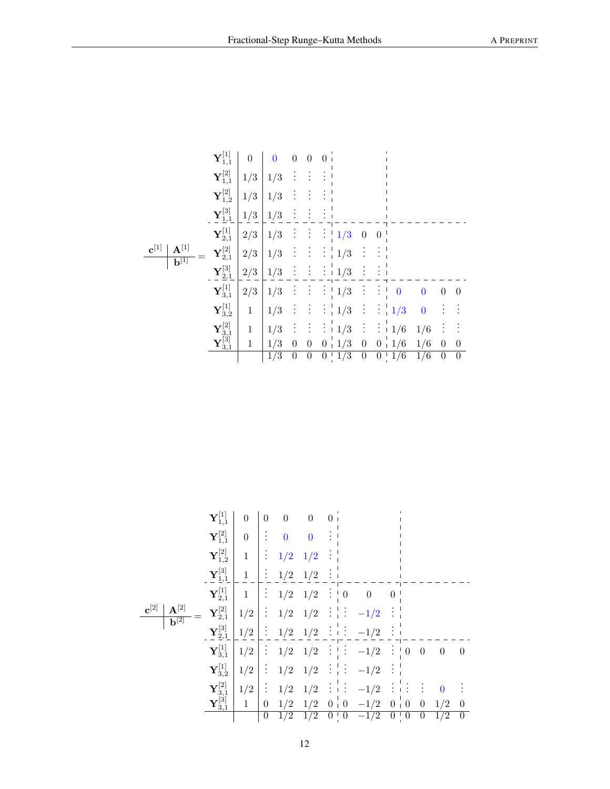|                                                             | $\mathbf{Y}^{[1]}_{1,1}$                   | $\boldsymbol{0}$ | $\boldsymbol{0}$ | $\overline{0}$   | $\overline{0}$                | $\overline{0}$   |                               |                  |                  |                  |                  |                  |                  |
|-------------------------------------------------------------|--------------------------------------------|------------------|------------------|------------------|-------------------------------|------------------|-------------------------------|------------------|------------------|------------------|------------------|------------------|------------------|
|                                                             | $\mathbf{Y}^{[2]}_{1,1}$                   | 1/3              | 1/3              |                  |                               |                  |                               |                  |                  |                  |                  |                  |                  |
| $\mathbf{c}^{[1]}$<br>${\bf A}^{[1]}$<br>$\mathbf{b}^{[1]}$ | $\mathbf{Y}^{[2]}_{1,2}$                   | 1/3              | 1/3              |                  |                               |                  |                               |                  |                  |                  |                  |                  |                  |
|                                                             | $\mathbf{Y}_{\mathbf{1},\mathbf{1}}^{[3]}$ | 1/3              | 1/3              |                  |                               |                  |                               |                  |                  |                  |                  |                  |                  |
|                                                             | $\mathbf{Y}^{[1]}_{2,1}$                   | 2/3              | 1/3              |                  | $\vdots$                      | $\vdots$         | 1/3                           | $\boldsymbol{0}$ | $\boldsymbol{0}$ |                  |                  |                  |                  |
|                                                             | $\mathbf{Y}^{[2]}_{2,1}$                   | 2/3              | 1/3              |                  | $\langle \frac{1}{2} \rangle$ | $\ddot{\cdot}$   | 1/3                           |                  |                  |                  |                  |                  |                  |
|                                                             | $\mathbf{Y}_{2,1}^{[3]}$                   | 2/3              | 1/3              |                  | $\vdots$                      |                  | $\frac{1}{3}$ i $\frac{1}{3}$ |                  |                  |                  |                  |                  |                  |
|                                                             | $\mathbf{Y}^{[1]}_{3,1}$                   | $2/3\,$          | 1/3              |                  | $\frac{1}{2}$ .               | $\vdots$         | $1/3\,$                       | $\vdots$         | $\frac{1}{2}$    | $\theta$         | $\boldsymbol{0}$ | $\boldsymbol{0}$ | $\boldsymbol{0}$ |
|                                                             | $\mathbf{Y}^{[1]}_{3,2}$                   | $\mathbf{1}$     | 1/3              |                  | $\ddot{\cdot}$                | $\vdots$         | 1/3                           | ÷                | $\mathbb{R}^n$   | 1/3              | $\bf{0}$         |                  |                  |
|                                                             | ${\bf Y}_{3,1}^{[2]}\ {\bf Y}_{3,1}^{[3]}$ | $\mathbf{1}$     | 1/3              |                  | $\vdots$                      | $\vdots$         | 1/3                           | $\vdots$         | ÷                | 1/6              | 1/6              |                  |                  |
|                                                             |                                            | $\mathbf{1}$     | 1/3              | $\boldsymbol{0}$ | $\boldsymbol{0}$              | 0 <sub>1</sub>   | 1/3                           | $\boldsymbol{0}$ | 0 <sub>1</sub>   | 1/6              | 1/6              | $\boldsymbol{0}$ | $\theta$         |
|                                                             |                                            |                  | $\overline{1/3}$ | $\boldsymbol{0}$ | $\overline{0}$                | $\boldsymbol{0}$ | $\sqrt{1/3}$                  | $\overline{0}$   | $\boldsymbol{0}$ | $\overline{1/6}$ | $\overline{1/6}$ | $\boldsymbol{0}$ | $\theta$         |

$$
\mathbf{Y}_{1,1}^{[1]} \begin{bmatrix} 0 & 0 & 0 & 0 & 0 \\ \mathbf{Y}_{1,1}^{[2]} & 0 & \vdots & 0 & 0 & \vdots \\ \mathbf{Y}_{1,2}^{[2]} & 1 & \vdots & 1/2 & 1/2 & \vdots \\ \mathbf{Y}_{2,1}^{[3]} & 1 & \vdots & 1/2 & 1/2 & \vdots \\ \mathbf{Y}_{2,1}^{[3]} & 1 & \vdots & 1/2 & 1/2 & \vdots \\ \mathbf{Y}_{2,1}^{[2]} & 1 & \vdots & 1/2 & 1/2 & \vdots \\ \mathbf{Y}_{2,1}^{[3]} & 1 & \vdots & 1/2 & 1/2 & \vdots \\ \mathbf{Y}_{2,1}^{[3]} & 1/2 & \vdots & 1/2 & 1/2 & \vdots \\ \mathbf{Y}_{2,1}^{[3]} & 1/2 & \vdots & 1/2 & 1/2 & \vdots \\ \mathbf{Y}_{2,1}^{[1]} & 1/2 & \vdots & 1/2 & 1/2 & \vdots \\ \mathbf{Y}_{3,1}^{[1]} & 1/2 & \vdots & 1/2 & 1/2 & \vdots \\ \mathbf{Y}_{3,2}^{[1]} & 1/2 & \vdots & 1/2 & 1/2 & \vdots \\ \mathbf{Y}_{3,2}^{[2]} & 1/2 & \vdots & 1/2 & 1/2 & \vdots \\ \mathbf{Y}_{3,1}^{[3]} & 1/2 & \vdots & 1/2 & 1/2 & \vdots \\ \mathbf{Y}_{3,1}^{[3]} & 1 & 0 & 1/2 & 1/2 & 0 \\ \end{bmatrix} \begin{matrix} \mathbf{0} & 0 & 0 & 0 \\ \mathbf{1} & 0 & 0 & 0 \\ \mathbf{1} & 0 & 0 & 0 \\ \mathbf{1} & 0 & 0 & 0 \\ \mathbf{1} & 0 & 0 & 0 \\ \mathbf{1} & 0 & 0 & 0 \\ \mathbf{1} & 0 & 0 & 0 \\ \mathbf{1} & 0 & 0 & 0 \\ \end{matrix}
$$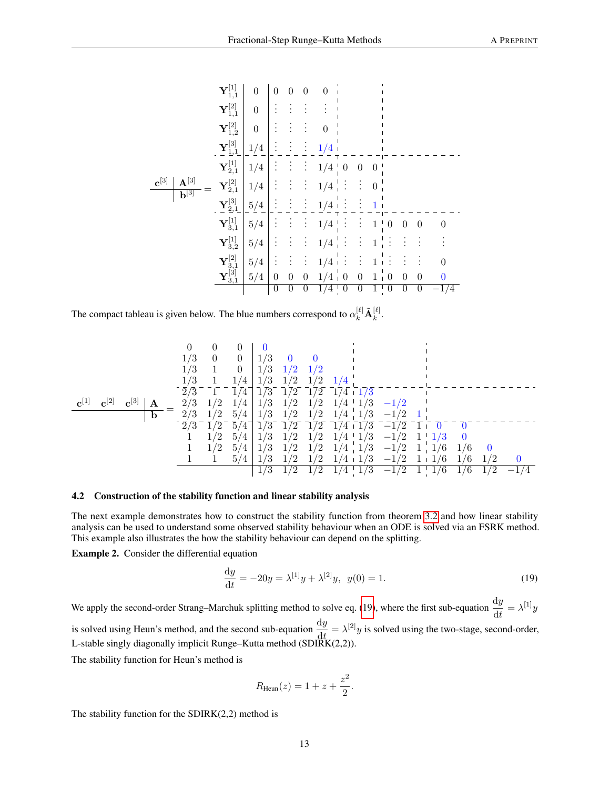$$
\mathbf{Y}_{1,1}^{[1]} \quad 0 \quad 0 \quad 0 \quad 0 \quad 0 \quad 0 \quad 0
$$
\n
$$
\mathbf{Y}_{1,1}^{[2]} \quad 0 \quad \vdots \quad \vdots \quad \vdots \quad \vdots \quad \vdots
$$
\n
$$
\mathbf{Y}_{1,2}^{[2]} \quad 0 \quad \vdots \quad \vdots \quad \vdots \quad \vdots \quad \vdots
$$
\n
$$
\mathbf{Y}_{2,1}^{[3]} \quad 1/4 \quad \vdots \quad \vdots \quad \vdots \quad \vdots \quad 1/4 \quad \vdots \quad \vdots \quad \vdots \quad \vdots
$$
\n
$$
\mathbf{Y}_{2,1}^{[1]} \quad 1/4 \quad \vdots \quad \vdots \quad \vdots \quad 1/4 \quad \vdots \quad \vdots \quad 0 \quad \vdots
$$
\n
$$
\mathbf{Y}_{2,1}^{[3]} \quad \mathbf{Y}_{2,1}^{[2]} \quad 1/4 \quad \vdots \quad \vdots \quad \vdots \quad 1/4 \quad \vdots \quad \vdots \quad 0 \quad \vdots
$$
\n
$$
\mathbf{Y}_{2,1}^{[3]} \quad \mathbf{Y}_{2,1}^{[2]} \quad 5/4 \quad \vdots \quad \vdots \quad \vdots \quad 1/4 \quad \vdots \quad \vdots \quad \vdots \quad 1 \quad \vdots
$$
\n
$$
\mathbf{Y}_{3,1}^{[1]} \quad 5/4 \quad \vdots \quad \vdots \quad \vdots \quad 1/4 \quad \vdots \quad \vdots \quad 1 \quad \vdots \quad \vdots \quad \vdots \quad \vdots \quad \vdots
$$
\n
$$
\mathbf{Y}_{3,2}^{[1]} \quad 5/4 \quad \vdots \quad \vdots \quad \vdots \quad 1/4 \quad \vdots \quad \vdots \quad 1 \quad \vdots \quad \vdots \quad \vdots \quad \vdots
$$
\n
$$
\mathbf{Y}_{3,1}^{[2]} \quad 5/4 \quad \vdots \quad \vdots \quad \vdots \quad 1/4 \quad \vdots \quad \vdots \quad 1 \quad \vdots \quad \vdots \quad \vdots \quad \vdots
$$
\n
$$
\mathbf{Y}_{3,1}^{[3]} \quad 5/4 \quad \vdots \quad \vd
$$

The compact tableau is given below. The blue numbers correspond to  $\alpha_k^{[\ell]}$   $\tilde{\mathbf{A}}_k^{[\ell]}$  $\frac{\lbrack t \rbrack}{k}$ .

c [1] c [2] c [3] A b = 0 0 0 0 1/3 0 0 1/3 0 0 1/3 1 0 1/3 1/2 1/2 1/3 1 1/4 1/3 1/2 1/2 1/4 2/3 1 1/4 1/3 1/2 1/2 1/4 1/3 2/3 1/2 1/4 1/3 1/2 1/2 1/4 1/3 −1/2 2/3 1/2 5/4 1/3 1/2 1/2 1/4 1/3 −1/2 1 2/3 1/2 5/4 1/3 1/2 1/2 1/4 1/3 −1/2 1 0 0 1 1/2 5/4 1/3 1/2 1/2 1/4 1/3 −1/2 1 1/3 0 1 1/2 5/4 1/3 1/2 1/2 1/4 1/3 −1/2 1 1/6 1/6 0 1 1 5/4 1/3 1/2 1/2 1/4 1/3 −1/2 1 1/6 1/6 1/2 0 1/3 1/2 1/2 1/4 1/3 −1/2 1 1/6 1/6 1/2 −1/4

#### 4.2 Construction of the stability function and linear stability analysis

The next example demonstrates how to construct the stability function from theorem [3.2](#page-8-2) and how linear stability analysis can be used to understand some observed stability behaviour when an ODE is solved via an FSRK method. This example also illustrates the how the stability behaviour can depend on the splitting.

Example 2. Consider the differential equation

<span id="page-12-0"></span>
$$
\frac{dy}{dt} = -20y = \lambda^{[1]}y + \lambda^{[2]}y, \ y(0) = 1.
$$
\n(19)

We apply the second-order Strang–Marchuk splitting method to solve eq. [\(19\)](#page-12-0), where the first sub-equation  $\frac{dy}{dx} = \lambda^{[1]}y$ is solved using Heun's method, and the second sub-equation  $\frac{dy}{dt} = \lambda^{[2]}y$  is solved using the two-stage, second-order, L-stable singly diagonally implicit Runge–Kutta method (SDIRK(2,2)).

The stability function for Heun's method is

$$
R_{\text{Heun}}(z) = 1 + z + \frac{z^2}{2}.
$$

The stability function for the  $SDIRK(2,2)$  method is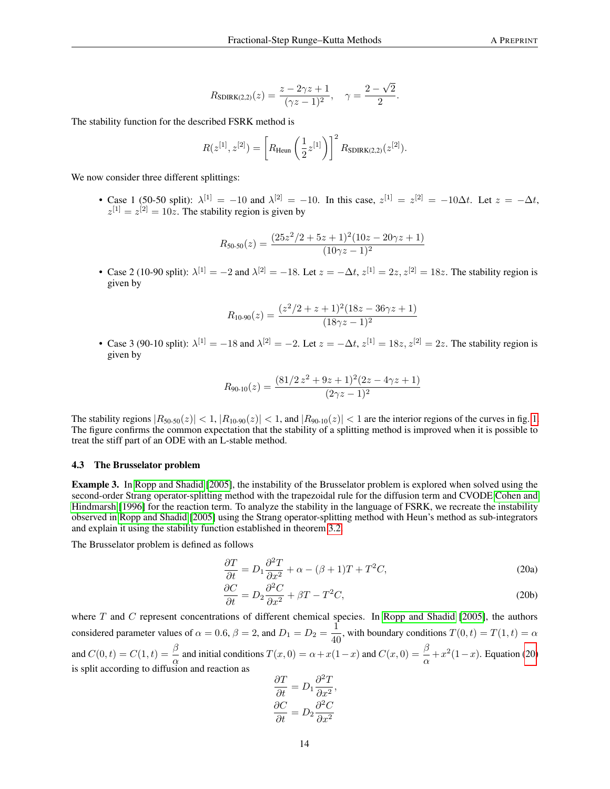$$
R_{\text{SDIRK}(2,2)}(z) = \frac{z - 2\gamma z + 1}{(\gamma z - 1)^2}, \quad \gamma = \frac{2 - \sqrt{2}}{2}.
$$

The stability function for the described FSRK method is

$$
R(z^{[1]}, z^{[2]}) = \left[R_{\text{Heun}}\left(\frac{1}{2}z^{[1]}\right)\right]^2 R_{\text{SDIRK}(2,2)}(z^{[2]}).
$$

We now consider three different splittings:

• Case 1 (50-50 split):  $\lambda^{[1]} = -10$  and  $\lambda^{[2]} = -10$ . In this case,  $z^{[1]} = z^{[2]} = -10\Delta t$ . Let  $z = -\Delta t$ ,  $z^{[1]} = z^{[2]} = 10z$ . The stability region is given by

$$
R_{50\cdot 50}(z) = \frac{(25z^2/2 + 5z + 1)^2(10z - 20\gamma z + 1)}{(10\gamma z - 1)^2}
$$

• Case 2 (10-90 split):  $\lambda^{[1]} = -2$  and  $\lambda^{[2]} = -18$ . Let  $z = -\Delta t$ ,  $z^{[1]} = 2z$ ,  $z^{[2]} = 18z$ . The stability region is given by

$$
R_{10\text{-}90}(z) = \frac{(z^2/2 + z + 1)^2(18z - 36\gamma z + 1)}{(18\gamma z - 1)^2}
$$

• Case 3 (90-10 split):  $\lambda^{[1]} = -18$  and  $\lambda^{[2]} = -2$ . Let  $z = -\Delta t$ ,  $z^{[1]} = 18z$ ,  $z^{[2]} = 2z$ . The stability region is given by

$$
R_{90 \text{-} 10}(z) = \frac{(81/2 z^2 + 9z + 1)^2 (2z - 4\gamma z + 1)}{(2\gamma z - 1)^2}
$$

The stability regions  $|R_{50-50}(z)| < 1$ ,  $|R_{10-90}(z)| < 1$ , and  $|R_{90-10}(z)| < 1$  are the interior regions of the curves in fig. [1.](#page-14-0) The figure confirms the common expectation that the stability of a splitting method is improved when it is possible to treat the stiff part of an ODE with an L-stable method.

## 4.3 The Brusselator problem

Example 3. In [Ropp and Shadid](#page-19-4) [\[2005\]](#page-19-4), the instability of the Brusselator problem is explored when solved using the second-order Strang operator-splitting method with the trapezoidal rule for the diffusion term and CVODE [Cohen and](#page-19-9) [Hindmarsh](#page-19-9) [\[1996\]](#page-19-9) for the reaction term. To analyze the stability in the language of FSRK, we recreate the instability observed in [Ropp and Shadid](#page-19-4) [\[2005\]](#page-19-4) using the Strang operator-splitting method with Heun's method as sub-integrators and explain it using the stability function established in theorem [3.2.](#page-8-2)

The Brusselator problem is defined as follows

<span id="page-13-0"></span>
$$
\frac{\partial T}{\partial t} = D_1 \frac{\partial^2 T}{\partial x^2} + \alpha - (\beta + 1)T + T^2 C,\tag{20a}
$$

$$
\frac{\partial C}{\partial t} = D_2 \frac{\partial^2 C}{\partial x^2} + \beta T - T^2 C,\tag{20b}
$$

where  $T$  and  $C$  represent concentrations of different chemical species. In [Ropp and Shadid](#page-19-4) [\[2005\]](#page-19-4), the authors considered parameter values of  $\alpha = 0.6$ ,  $\beta = 2$ , and  $D_1 = D_2 = \frac{1}{40}$  $\frac{1}{40}$ , with boundary conditions  $T(0, t) = T(1, t) = \alpha$ and  $C(0,t) = C(1,t) = \frac{\beta}{\alpha}$  and initial conditions  $T(x, 0) = \alpha + x(1-x)$  and  $C(x, 0) = \frac{\beta}{\alpha} + x^2(1-x)$ . Equation [\(20\)](#page-13-0) and  $C(0, 0)$   $C(1, 0)$  and meat conditions as split according to diffusion and reaction as

$$
\frac{\partial T}{\partial t} = D_1 \frac{\partial^2 T}{\partial x^2},
$$

$$
\frac{\partial C}{\partial t} = D_2 \frac{\partial^2 C}{\partial x^2}
$$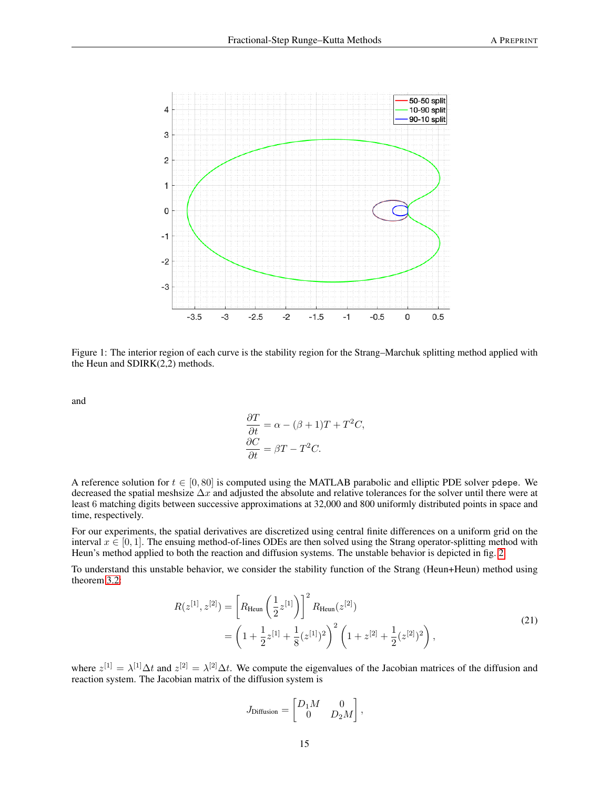

<span id="page-14-0"></span>Figure 1: The interior region of each curve is the stability region for the Strang–Marchuk splitting method applied with the Heun and SDIRK(2,2) methods.

and

$$
\frac{\partial T}{\partial t} = \alpha - (\beta + 1)T + T^2C,
$$
  

$$
\frac{\partial C}{\partial t} = \beta T - T^2C.
$$

A reference solution for  $t \in [0, 80]$  is computed using the MATLAB parabolic and elliptic PDE solver pdepe. We decreased the spatial meshsize ∆x and adjusted the absolute and relative tolerances for the solver until there were at least 6 matching digits between successive approximations at 32,000 and 800 uniformly distributed points in space and time, respectively.

For our experiments, the spatial derivatives are discretized using central finite differences on a uniform grid on the interval  $x \in [0, 1]$ . The ensuing method-of-lines ODEs are then solved using the Strang operator-splitting method with Heun's method applied to both the reaction and diffusion systems. The unstable behavior is depicted in fig. [2.](#page-15-0)

To understand this unstable behavior, we consider the stability function of the Strang (Heun+Heun) method using theorem [3.2:](#page-8-2)

<span id="page-14-1"></span>
$$
R(z^{[1]}, z^{[2]}) = \left[R_{\text{Heun}}\left(\frac{1}{2}z^{[1]}\right)\right]^2 R_{\text{Heun}}(z^{[2]})
$$
  
=  $\left(1 + \frac{1}{2}z^{[1]} + \frac{1}{8}(z^{[1]})^2\right)^2 \left(1 + z^{[2]} + \frac{1}{2}(z^{[2]})^2\right),$  (21)

where  $z^{[1]} = \lambda^{[1]} \Delta t$  and  $z^{[2]} = \lambda^{[2]} \Delta t$ . We compute the eigenvalues of the Jacobian matrices of the diffusion and reaction system. The Jacobian matrix of the diffusion system is

$$
J_{\text{Diffusion}} = \begin{bmatrix} D_1 M & 0 \\ 0 & D_2 M \end{bmatrix},
$$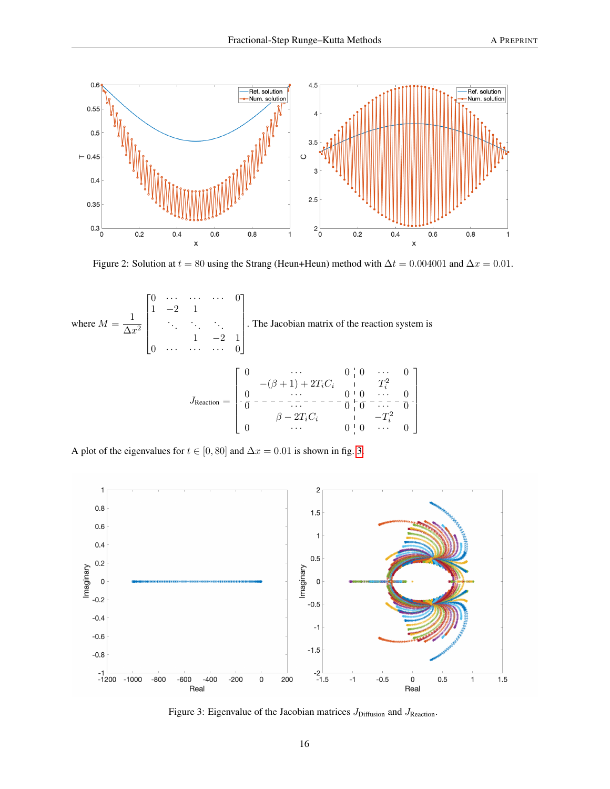

<span id="page-15-0"></span>Figure 2: Solution at  $t = 80$  using the Strang (Heun+Heun) method with  $\Delta t = 0.004001$  and  $\Delta x = 0.01$ .

where 
$$
M = \frac{1}{\Delta x^2} \begin{bmatrix} 0 & \cdots & \cdots & \cdots & 0 \\ 1 & -2 & 1 & & & \\ & \ddots & \ddots & \ddots & \vdots \\ 0 & \cdots & \cdots & \cdots & 0 \end{bmatrix}
$$
. The Jacobian matrix of the reaction system is  
\n
$$
J_{\text{Reaction}} = \begin{bmatrix} 0 & \cdots & 0 & 0 & \cdots & 0 \\ -(\beta + 1) + 2T_i C_i & \cdots & T_i^2 & 0 \\ 0 & \cdots & \cdots & 0 & 0 \\ 0 & 0 & \cdots & 0 & 0 \\ 0 & \cdots & 0 & 0 & \cdots & 0 \end{bmatrix}
$$

A plot of the eigenvalues for  $t \in [0, 80]$  and  $\Delta x = 0.01$  is shown in fig. [3.](#page-15-1)



<span id="page-15-1"></span>Figure 3: Eigenvalue of the Jacobian matrices  $J_{\text{Diffusion}}$  and  $J_{\text{Reaction}}$ .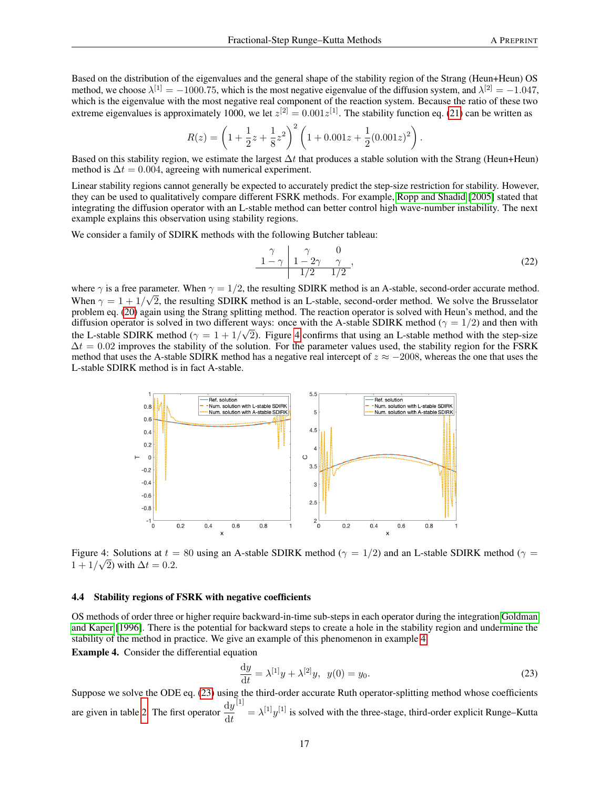Based on the distribution of the eigenvalues and the general shape of the stability region of the Strang (Heun+Heun) OS method, we choose  $\lambda^{[1]} = -1000.75$ , which is the most negative eigenvalue of the diffusion system, and  $\lambda^{[2]} = -1.047$ , which is the eigenvalue with the most negative real component of the reaction system. Because the ratio of these two extreme eigenvalues is approximately 1000, we let  $z^{[2]} = 0.001z^{[1]}$ . The stability function eq. [\(21\)](#page-14-1) can be written as

$$
R(z) = \left(1 + \frac{1}{2}z + \frac{1}{8}z^2\right)^2 \left(1 + 0.001z + \frac{1}{2}(0.001z)^2\right).
$$

Based on this stability region, we estimate the largest  $\Delta t$  that produces a stable solution with the Strang (Heun+Heun) method is  $\Delta t = 0.004$ , agreeing with numerical experiment.

Linear stability regions cannot generally be expected to accurately predict the step-size restriction for stability. However, they can be used to qualitatively compare different FSRK methods. For example, [Ropp and Shadid](#page-19-4) [\[2005\]](#page-19-4) stated that integrating the diffusion operator with an L-stable method can better control high wave-number instability. The next example explains this observation using stability regions.

We consider a family of SDIRK methods with the following Butcher tableau:

<span id="page-16-3"></span>
$$
\begin{array}{c|c}\n\gamma & \gamma & 0 \\
1-\gamma & 1-2\gamma & \gamma \\
\hline\n1/2 & 1/2\n\end{array}
$$
\n(22)

where  $\gamma$  is a free parameter. When  $\gamma = 1/2$ , the resulting SDIRK method is an A-stable, second-order accurate method. When  $\gamma = 1 + 1/\sqrt{2}$ , the resulting SDIRK method is an L-stable, second-order method. We solve the Brusselator problem eq. [\(20\)](#page-13-0) again using the Strang splitting method. The reaction operator is solved with Heun's method, and the diffusion operator is solved in two different ways: once with the A-stable SDIRK method ( $\gamma = 1/2$ ) and then with the L-stable SDIRK method ( $\gamma = 1 + 1/\sqrt{2}$ ). Figure [4](#page-16-0) confirms that using an L-stable method with the step-size  $\Delta t = 0.02$  improves the stability of the solution. For the parameter values used, the stability region for the FSRK method that uses the A-stable SDIRK method has a negative real intercept of  $z \approx -2008$ , whereas the one that uses the L-stable SDIRK method is in fact A-stable.



<span id="page-16-0"></span>Figure 4: Solutions at  $t = 80$  using an A-stable SDIRK method ( $\gamma = 1/2$ ) and an L-stable SDIRK method ( $\gamma =$  $1 + 1/\sqrt{2}$  with  $\Delta t = 0.2$ .

#### 4.4 Stability regions of FSRK with negative coefficients

OS methods of order three or higher require backward-in-time sub-steps in each operator during the integration [Goldman](#page-19-10) [and Kaper](#page-19-10) [\[1996\]](#page-19-10). There is the potential for backward steps to create a hole in the stability region and undermine the stability of the method in practice. We give an example of this phenomenon in example [4.](#page-16-1)

<span id="page-16-1"></span>Example 4. Consider the differential equation

<span id="page-16-2"></span>
$$
\frac{dy}{dt} = \lambda^{[1]}y + \lambda^{[2]}y, \ \ y(0) = y_0.
$$
\n(23)

Suppose we solve the ODE eq. [\(23\)](#page-16-2) using the third-order accurate Ruth operator-splitting method whose coefficients are given in table [2.](#page-17-6) The first operator  $\frac{dy}{dt}$ [1]  $= \lambda^{[1]} y^{[1]}$  is solved with the three-stage, third-order explicit Runge–Kutta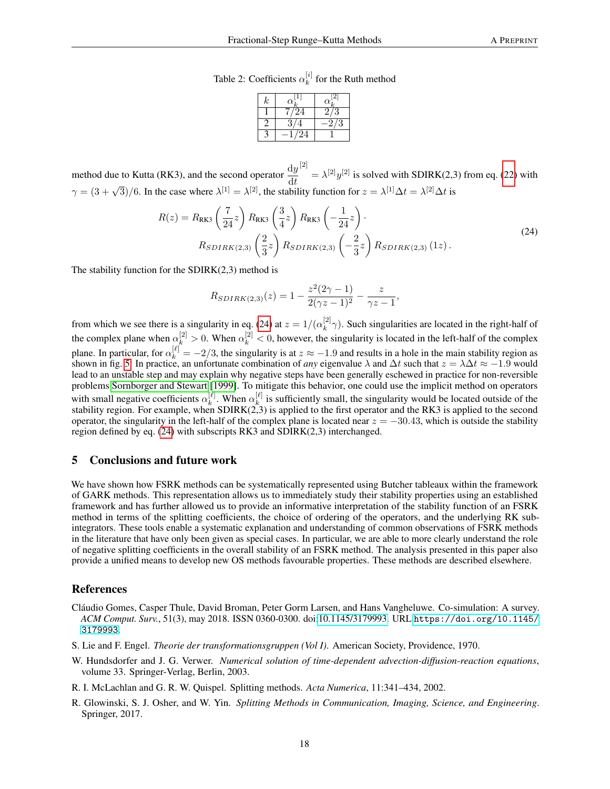Table 2: Coefficients  $\alpha_k^{[i]}$  $k^{[i]}$  for the Ruth method

<span id="page-17-7"></span><span id="page-17-6"></span>

| $\kappa$ | $\alpha_{\iota}$ | $\alpha_{\iota}$ |  |  |  |  |  |
|----------|------------------|------------------|--|--|--|--|--|
|          | /24              | ۰.               |  |  |  |  |  |
|          |                  | З                |  |  |  |  |  |
|          | 24               |                  |  |  |  |  |  |
|          |                  |                  |  |  |  |  |  |

method due to Kutta (RK3), and the second operator  $\frac{dy}{dt}$ [2]  $= \lambda^{[2]} y^{[2]}$  is solved with SDIRK(2,3) from eq. [\(22\)](#page-16-3) with  $\gamma = (3 + \sqrt{3})/6$ . In the case where  $\lambda^{[1]} = \lambda^{[2]}$ , the stability function for  $z = \lambda^{[1]} \Delta t = \lambda^{[2]} \Delta t$  is

$$
R(z) = R_{\text{RK3}} \left(\frac{7}{24} z\right) R_{\text{RK3}} \left(\frac{3}{4} z\right) R_{\text{RK3}} \left(-\frac{1}{24} z\right).
$$
  
\n
$$
R_{SDIRK(2,3)} \left(\frac{2}{3} z\right) R_{SDIRK(2,3)} \left(-\frac{2}{3} z\right) R_{SDIRK(2,3)} (1 z).
$$
\n(24)

The stability function for the  $SDIRK(2,3)$  method is

$$
R_{SDIRK(2,3)}(z) = 1 - \frac{z^2(2\gamma - 1)}{2(\gamma z - 1)^2} - \frac{z}{\gamma z - 1},
$$

from which we see there is a singularity in eq. [\(24\)](#page-17-7) at  $z = 1/(\alpha_k^{[2]}\gamma)$ . Such singularities are located in the right-half of k the complex plane when  $\alpha_k^{[2]} > 0$ . When  $\alpha_k^{[2]} < 0$ , however, the singularity is located in the left-half of the complex plane. In particular, for  $\alpha_k^{[\ell]} = -2/3$ , the singularity is at  $z \approx -1.9$  and results in a hole in the main stability region as shown in fig. [5.](#page-18-10) In practice, an unfortunate combination of *any* eigenvalue  $\lambda$  and  $\Delta t$  such that  $z = \lambda \Delta t \approx -1.9$  would lead to an unstable step and may explain why negative steps have been generally eschewed in practice for non-reversible problems [Sornborger and Stewart](#page-19-11) [\[1999\]](#page-19-11). To mitigate this behavior, one could use the implicit method on operators with small negative coefficients  $\alpha_k^{[\ell]}$  $\alpha_k^{[\ell]}$ . When  $\alpha_k^{[\ell]}$  $\frac{1}{k}$  is sufficiently small, the singularity would be located outside of the stability region. For example, when SDIRK(2,3) is applied to the first operator and the RK3 is applied to the second operator, the singularity in the left-half of the complex plane is located near  $z = -30.43$ , which is outside the stability region defined by eq. [\(24\)](#page-17-7) with subscripts RK3 and SDIRK(2,3) interchanged.

## <span id="page-17-5"></span>5 Conclusions and future work

We have shown how FSRK methods can be systematically represented using Butcher tableaux within the framework of GARK methods. This representation allows us to immediately study their stability properties using an established framework and has further allowed us to provide an informative interpretation of the stability function of an FSRK method in terms of the splitting coefficients, the choice of ordering of the operators, and the underlying RK subintegrators. These tools enable a systematic explanation and understanding of common observations of FSRK methods in the literature that have only been given as special cases. In particular, we are able to more clearly understand the role of negative splitting coefficients in the overall stability of an FSRK method. The analysis presented in this paper also provide a unified means to develop new OS methods favourable properties. These methods are described elsewhere.

## References

- <span id="page-17-0"></span>Cláudio Gomes, Casper Thule, David Broman, Peter Gorm Larsen, and Hans Vangheluwe. Co-simulation: A survey. *ACM Comput. Surv.*, 51(3), may 2018. ISSN 0360-0300. doi[:10.1145/3179993.](https://doi.org/10.1145/3179993) URL [https://doi.org/10.1145/](https://doi.org/10.1145/3179993) [3179993](https://doi.org/10.1145/3179993).
- <span id="page-17-1"></span>S. Lie and F. Engel. *Theorie der transformationsgruppen (Vol I)*. American Society, Providence, 1970.
- <span id="page-17-2"></span>W. Hundsdorfer and J. G. Verwer. *Numerical solution of time-dependent advection-diffusion-reaction equations*, volume 33. Springer-Verlag, Berlin, 2003.
- <span id="page-17-3"></span>R. I. McLachlan and G. R. W. Quispel. Splitting methods. *Acta Numerica*, 11:341–434, 2002.
- <span id="page-17-4"></span>R. Glowinski, S. J. Osher, and W. Yin. *Splitting Methods in Communication, Imaging, Science, and Engineering*. Springer, 2017.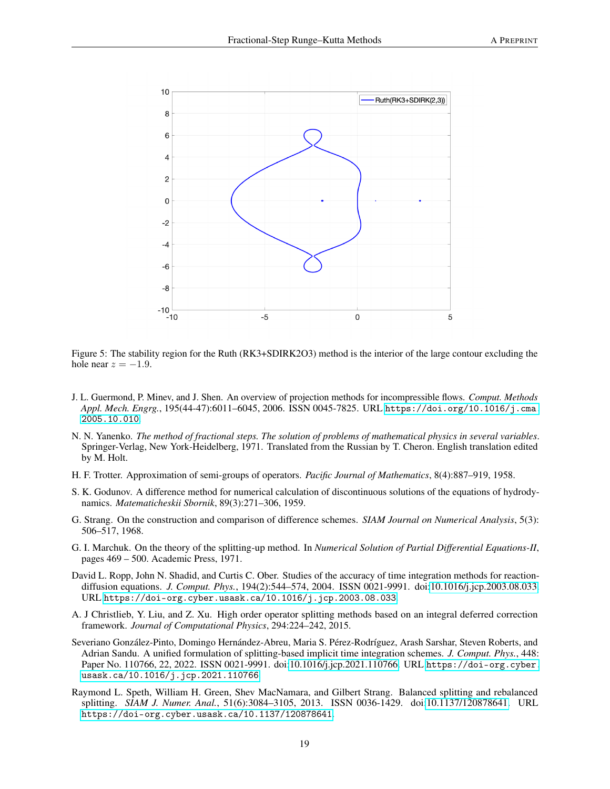

<span id="page-18-10"></span>Figure 5: The stability region for the Ruth (RK3+SDIRK2O3) method is the interior of the large contour excluding the hole near  $z = -1.9$ .

- <span id="page-18-0"></span>J. L. Guermond, P. Minev, and J. Shen. An overview of projection methods for incompressible flows. *Comput. Methods Appl. Mech. Engrg.*, 195(44-47):6011–6045, 2006. ISSN 0045-7825. URL [https://doi.org/10.1016/j.cma.](https://doi.org/10.1016/j.cma.2005.10.010) [2005.10.010](https://doi.org/10.1016/j.cma.2005.10.010).
- <span id="page-18-1"></span>N. N. Yanenko. *The method of fractional steps. The solution of problems of mathematical physics in several variables*. Springer-Verlag, New York-Heidelberg, 1971. Translated from the Russian by T. Cheron. English translation edited by M. Holt.
- <span id="page-18-2"></span>H. F. Trotter. Approximation of semi-groups of operators. *Pacific Journal of Mathematics*, 8(4):887–919, 1958.
- <span id="page-18-3"></span>S. K. Godunov. A difference method for numerical calculation of discontinuous solutions of the equations of hydrodynamics. *Matematicheskii Sbornik*, 89(3):271–306, 1959.
- <span id="page-18-4"></span>G. Strang. On the construction and comparison of difference schemes. *SIAM Journal on Numerical Analysis*, 5(3): 506–517, 1968.
- <span id="page-18-5"></span>G. I. Marchuk. On the theory of the splitting-up method. In *Numerical Solution of Partial Differential Equations-II*, pages 469 – 500. Academic Press, 1971.
- <span id="page-18-6"></span>David L. Ropp, John N. Shadid, and Curtis C. Ober. Studies of the accuracy of time integration methods for reactiondiffusion equations. *J. Comput. Phys.*, 194(2):544–574, 2004. ISSN 0021-9991. doi[:10.1016/j.jcp.2003.08.033.](https://doi.org/10.1016/j.jcp.2003.08.033) URL <https://doi-org.cyber.usask.ca/10.1016/j.jcp.2003.08.033>.
- <span id="page-18-7"></span>A. J Christlieb, Y. Liu, and Z. Xu. High order operator splitting methods based on an integral deferred correction framework. *Journal of Computational Physics*, 294:224–242, 2015.
- <span id="page-18-8"></span>Severiano González-Pinto, Domingo Hernández-Abreu, Maria S. Pérez-Rodríguez, Arash Sarshar, Steven Roberts, and Adrian Sandu. A unified formulation of splitting-based implicit time integration schemes. *J. Comput. Phys.*, 448: Paper No. 110766, 22, 2022. ISSN 0021-9991. doi[:10.1016/j.jcp.2021.110766.](https://doi.org/10.1016/j.jcp.2021.110766) URL [https://doi-org.cyber.](https://doi-org.cyber.usask.ca/10.1016/j.jcp.2021.110766) [usask.ca/10.1016/j.jcp.2021.110766](https://doi-org.cyber.usask.ca/10.1016/j.jcp.2021.110766).
- <span id="page-18-9"></span>Raymond L. Speth, William H. Green, Shev MacNamara, and Gilbert Strang. Balanced splitting and rebalanced splitting. *SIAM J. Numer. Anal.*, 51(6):3084–3105, 2013. ISSN 0036-1429. doi[:10.1137/120878641.](https://doi.org/10.1137/120878641) URL <https://doi-org.cyber.usask.ca/10.1137/120878641>.